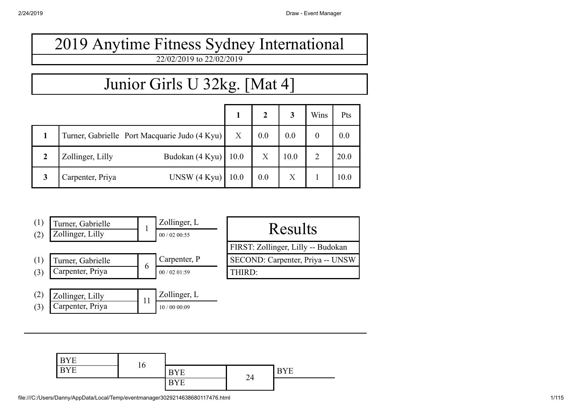## Junior Girls U 32kg. [Mat 4]

|                  |                                               |      | $\overline{2}$ |         | Wins | Pts  |
|------------------|-----------------------------------------------|------|----------------|---------|------|------|
|                  | Turner, Gabrielle Port Macquarie Judo (4 Kyu) | X    | 0.0            | 0.0     |      | 0.0  |
| $\boldsymbol{2}$ | Budokan (4 Kyu)<br>Zollinger, Lilly           | 10.0 | X              | 10.0    |      | 20.0 |
| 3                | UNSW (4 Kyu)<br>Carpenter, Priya              | 10.0 | 0.0            | $\rm X$ |      | 10.0 |



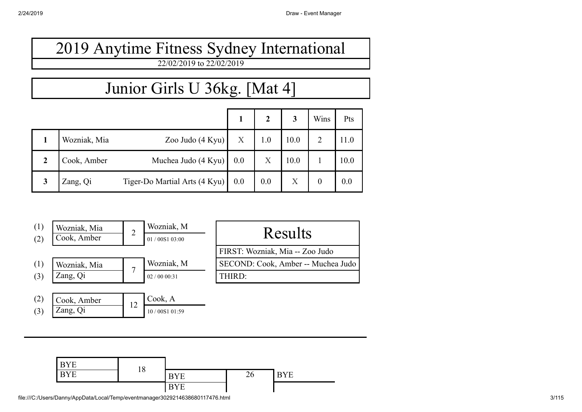### Junior Girls U 36kg. [Mat 4]

|                |              |                               |     |     |      | Wins | Pts  |
|----------------|--------------|-------------------------------|-----|-----|------|------|------|
|                | Wozniak, Mia | Zoo Judo $(4$ Kyu $)$         | X   | 1.0 | 10.0 |      | 11.0 |
| $\overline{2}$ | Cook, Amber  | Muchea Judo (4 Kyu)           | 0.0 | X   | 10.0 |      | 10.0 |
| 3              | Zang, Qi     | Tiger-Do Martial Arts (4 Kyu) | 0.0 | 0.0 | X    |      | 0.0  |

| (1)<br>(2) | Wozniak, Mia<br>Cook, Amber |    | Wozniak, M<br>01/00S1 03:00 | Results                            |
|------------|-----------------------------|----|-----------------------------|------------------------------------|
|            |                             |    |                             | FIRST: Wozniak, Mia -- Zoo Judo    |
| (1)        | Wozniak, Mia                |    | Wozniak, M                  | SECOND: Cook, Amber -- Muchea Judo |
| (3)        | Zang, Qi                    |    | 02/0000:31                  | THIRD:                             |
|            |                             |    |                             |                                    |
| (2)        | Cook, Amber                 | 12 | Cook, A                     |                                    |
| (3)        | Zang, Qi                    |    | $'$ 00S1 01:59<br>10/       |                                    |

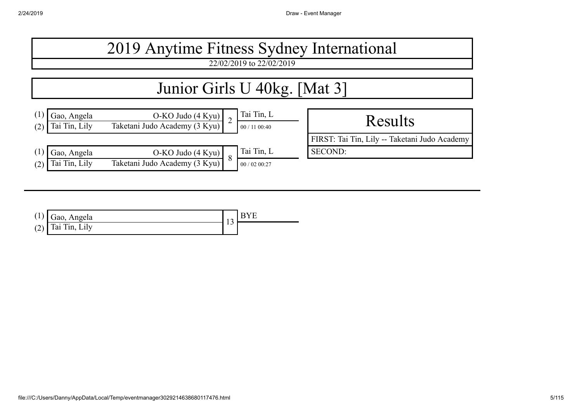

|     | $(1)$ Gao, Angela | <b>BYE</b> |
|-----|-------------------|------------|
| (2) | Tai Tin, Lily     |            |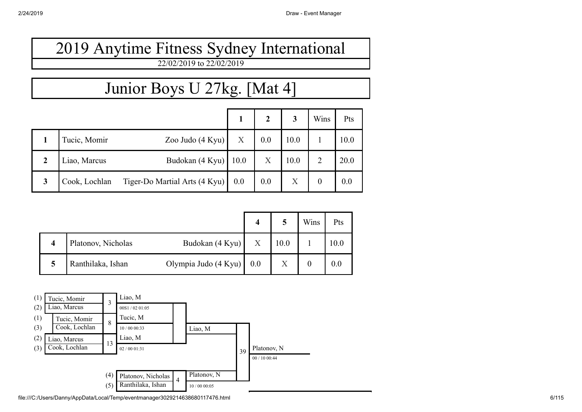## Junior Boys U 27kg. [Mat 4]

|                |               |                               |      |     |      | Wins | Pts  |
|----------------|---------------|-------------------------------|------|-----|------|------|------|
|                | Tucic, Momir  | Zoo Judo $(4$ Kyu $)$         | X    | 0.0 | 10.0 |      | 10.0 |
| $\overline{2}$ | Liao, Marcus  | Budokan (4 Kyu)               | 10.0 | X   | 10.0 | ↑    | 20.0 |
| 3              | Cook, Lochlan | Tiger-Do Martial Arts (4 Kyu) | 0.0  | 0.0 | X    | 0    | 0.0  |

|   |                    |                          |                           |      | Wins | Pts  |
|---|--------------------|--------------------------|---------------------------|------|------|------|
|   | Platonov, Nicholas | Budokan (4 Kyu)          | $\boldsymbol{\mathrm{X}}$ | 10.0 |      | 10.0 |
| 5 | Ranthilaka, Ishan  | Olympia Judo (4 Kyu) 0.0 |                           |      |      |      |

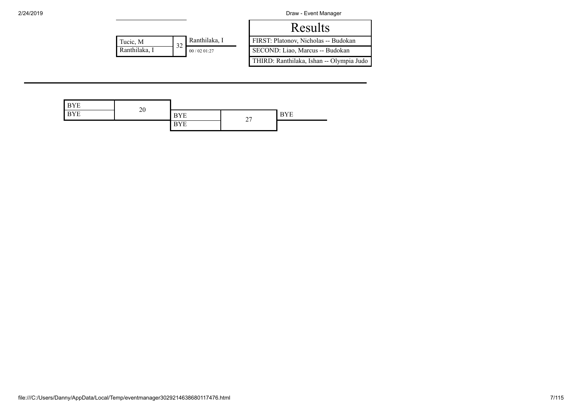|               |    |               | Results                                  |
|---------------|----|---------------|------------------------------------------|
| Tucic, M      | 32 | Ranthilaka, I | FIRST: Platonov, Nicholas -- Budokan     |
| Ranthilaka. I |    | 00/0201:27    | SECOND: Liao, Marcus -- Budokan          |
|               |    |               | THIRD: Ranthilaka, Ishan -- Olympia Judo |

| <b>BYE</b> | 20 |            |          |            |
|------------|----|------------|----------|------------|
| <b>BYE</b> |    | <b>BYE</b> | $\sim$   | <b>BYE</b> |
|            |    | <b>BYE</b> | $\sim$ 1 |            |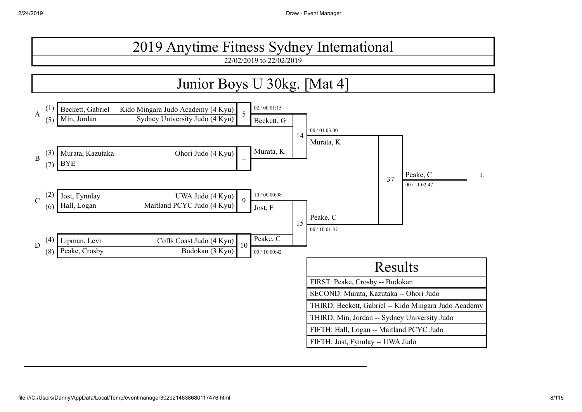22/02/2019 to 22/02/2019

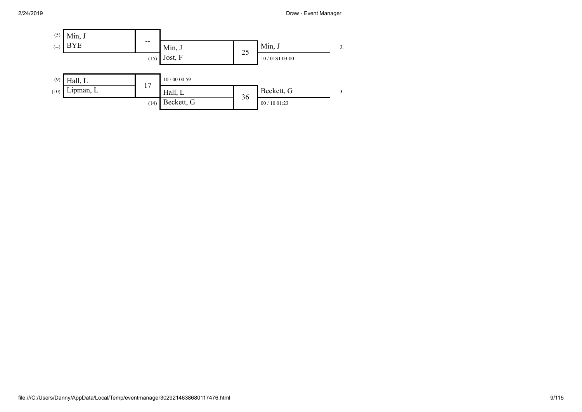

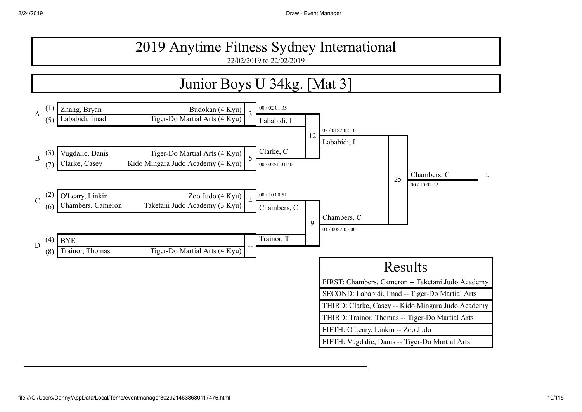22/02/2019 to 22/02/2019

### Junior Boys U 34kg. [Mat 3]

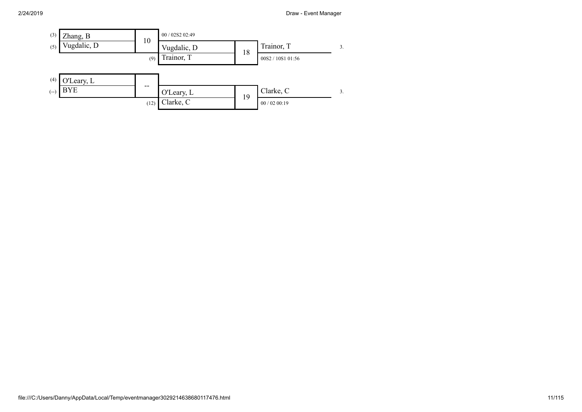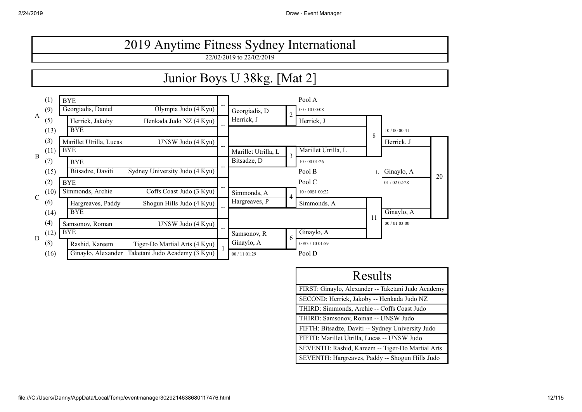

| Results                                            |
|----------------------------------------------------|
| FIRST: Ginaylo, Alexander -- Taketani Judo Academy |
| SECOND: Herrick, Jakoby -- Henkada Judo NZ         |
| THIRD: Simmonds, Archie -- Coffs Coast Judo        |
| THIRD: Samsonov, Roman -- UNSW Judo                |
| FIFTH: Bitsadze, Daviti -- Sydney University Judo  |
| FIFTH: Marillet Utrilla, Lucas -- UNSW Judo        |
| SEVENTH: Rashid, Kareem -- Tiger-Do Martial Arts   |
| SEVENTH: Hargreaves, Paddy -- Shogun Hills Judo    |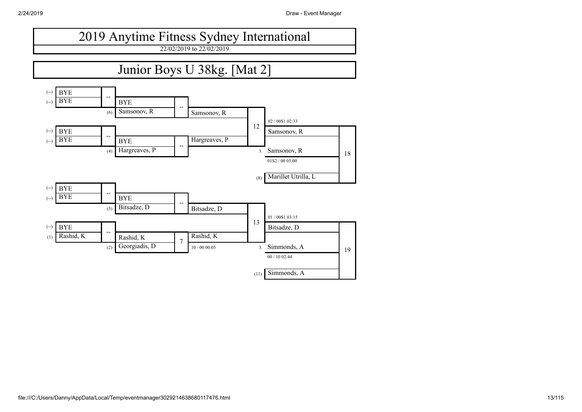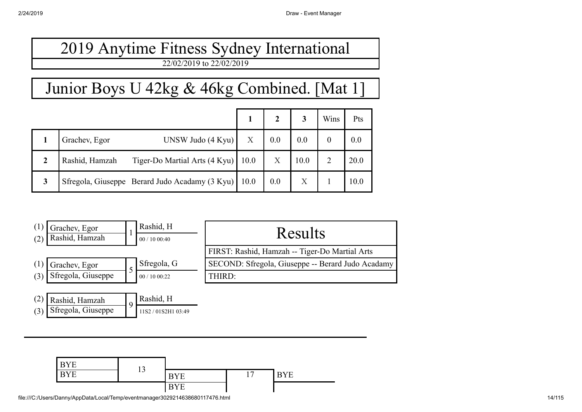## Junior Boys U 42kg & 46kg Combined. [Mat 1]

|                |                |                                                |      |     |      | Wins | Pts  |
|----------------|----------------|------------------------------------------------|------|-----|------|------|------|
|                | Grachev, Egor  | UNSW Judo $(4$ Kyu $)$                         | X    | 0.0 | 0.0  |      | 0.0  |
| $\overline{2}$ | Rashid, Hamzah | Tiger-Do Martial Arts $(4$ Kyu $)$ 10.0        |      | X   | 10.0 |      | 20.0 |
| 3              |                | Sfregola, Giuseppe Berard Judo Acadamy (3 Kyu) | 10.0 | 0.0 | X    |      | 10.0 |



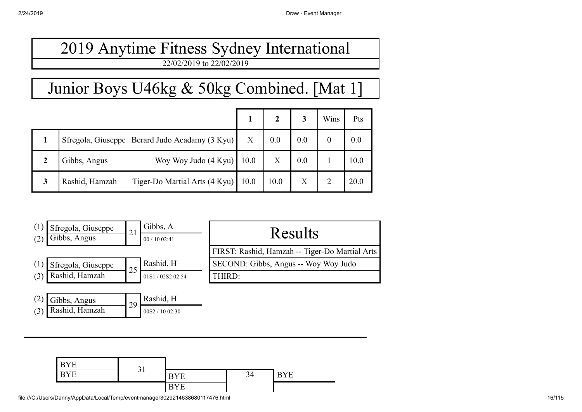## Junior Boys U46kg & 50kg Combined. [Mat 1]

|   |                                                      |   |      |     | Wins | Pts  |
|---|------------------------------------------------------|---|------|-----|------|------|
|   | Sfregola, Giuseppe Berard Judo Acadamy (3 Kyu)       | X | 0.0  | 0.0 |      | 0.0  |
|   | Woy Woy Judo $(4$ Kyu $)$ 10.0<br>Gibbs, Angus       |   | X    | 0.0 |      | 10.0 |
| 3 | Tiger-Do Martial Arts (4 Kyu) 10.0<br>Rashid, Hamzah |   | 10.0 |     |      | 20.0 |

| Sfregola, Giuseppe<br>Gibbs, Angus | 21 | Gibbs, A<br>00/1002:41 | Results                                        |
|------------------------------------|----|------------------------|------------------------------------------------|
|                                    |    |                        | FIRST: Rashid, Hamzah -- Tiger-Do Martial Arts |
| Sfregola, Giuseppe                 | 25 | Rashid, H              | SECOND: Gibbs, Angus -- Woy Woy Judo           |
| Rashid, Hamzah                     |    | 01S1/02S2 02:54        | THIRD:                                         |
|                                    |    |                        |                                                |



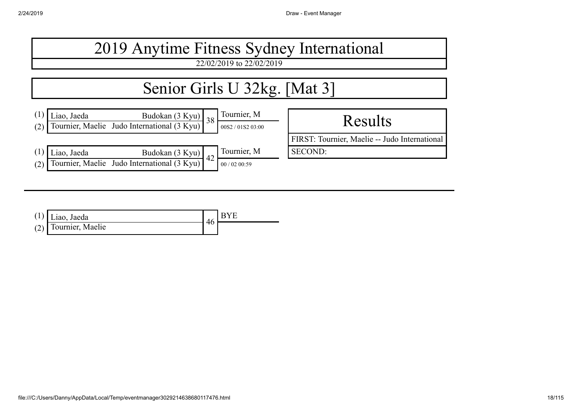|     |                                                                                |                                                                               |                                  | 2019 Anytime Fitness Sydney International     |
|-----|--------------------------------------------------------------------------------|-------------------------------------------------------------------------------|----------------------------------|-----------------------------------------------|
|     |                                                                                |                                                                               | 22/02/2019 to 22/02/2019         |                                               |
|     |                                                                                |                                                                               |                                  |                                               |
|     |                                                                                | Senior Girls U 32kg. [Mat 3]                                                  |                                  |                                               |
|     |                                                                                |                                                                               |                                  |                                               |
| (2) |                                                                                | Liao, Jaeda Budokan (3 Kyu)<br>Tournier, Maelie Judo International (3 Kyu) 38 | Tournier, M<br>00S2 / 01S2 03:00 | Results                                       |
|     |                                                                                |                                                                               |                                  | FIRST: Tournier, Maelie -- Judo International |
|     | Liao, Jaeda                                                                    | Budokan (3 Kyu)<br>42                                                         | Tournier, M                      | <b>SECOND:</b>                                |
|     | Duniversity of Bullynam (3 Kyu)<br>Tournier, Maelie Judo International (3 Kyu) |                                                                               | 00 / 02 00:59                    |                                               |
|     |                                                                                |                                                                               |                                  |                                               |

|     | $(1)$ Liao, Jaeda |    | <b>BYE</b> |
|-----|-------------------|----|------------|
| (2) | Tournier, Maelie  | 46 |            |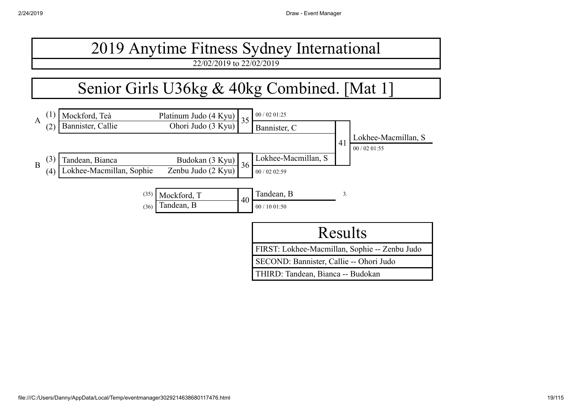22/02/2019 to 22/02/2019

### Senior Girls U36kg & 40kg Combined. [Mat 1]

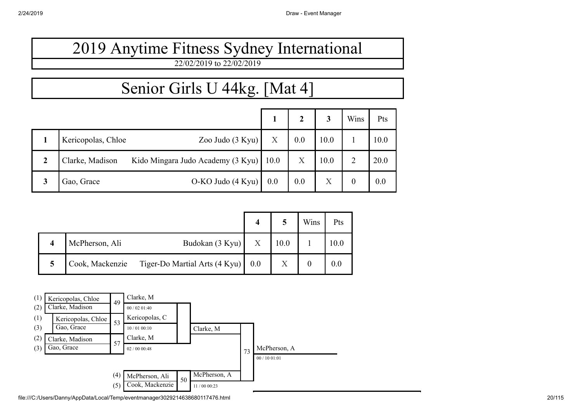22/02/2019 to 22/02/2019

## Senior Girls U 44kg. [Mat 4]

|                                                           |     |                  | 3    | Wins           | Pts  |
|-----------------------------------------------------------|-----|------------------|------|----------------|------|
| Zoo Judo $(3 Kyu)$<br>Kericopolas, Chloe                  | X   | 0.0              | 10.0 |                | 10.0 |
| Kido Mingara Judo Academy (3 Kyu) 10.0<br>Clarke, Madison |     | $\boldsymbol{X}$ | 10.0 | C              | 20.0 |
| $O-KO$ Judo $(4$ Kyu $)$<br>Gao, Grace                    | 0.0 | 0.0              | X    | $\overline{0}$ | 0.0  |

|                 |                                   |   |      | Wins | Pts  |
|-----------------|-----------------------------------|---|------|------|------|
| McPherson, Ali  | Budokan (3 Kyu)                   | X | 10.0 |      | 10.0 |
| Cook, Mackenzie | Tiger-Do Martial Arts (4 Kyu) 0.0 |   |      |      |      |

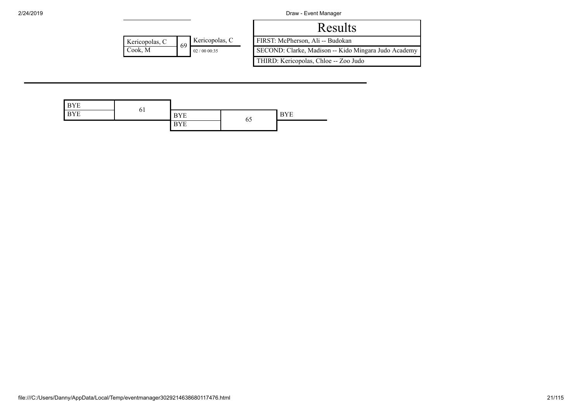|                |    |                | Results                                              |
|----------------|----|----------------|------------------------------------------------------|
| Kericopolas, C | 69 | Kericopolas, C | FIRST: McPherson, Ali -- Budokan                     |
| Cook, M        |    | 02/0000:35     | SECOND: Clarke, Madison -- Kido Mingara Judo Academy |
|                |    |                | THIRD: Kericopolas, Chloe -- Zoo Judo                |

 $\mathbf{r}$ 

| <b>DITE</b><br>ΥE |    |            |    |            |  |
|-------------------|----|------------|----|------------|--|
| 3YE               | 01 | <b>BYE</b> |    | <b>BYE</b> |  |
|                   |    | <b>BYE</b> | 65 |            |  |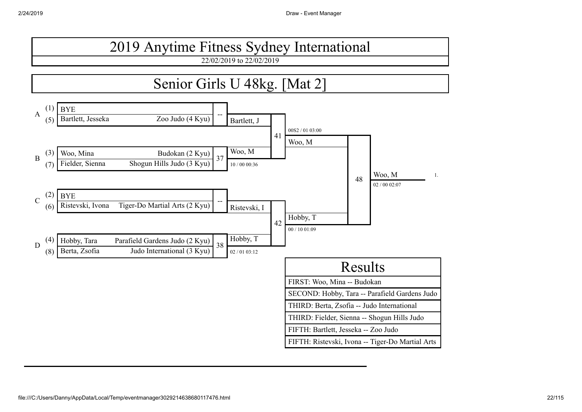

### Senior Girls U 48kg. [Mat 2]

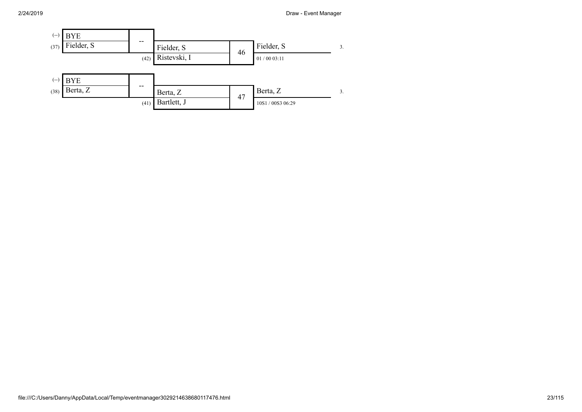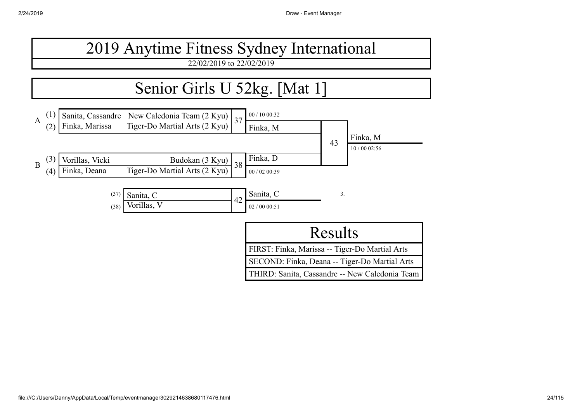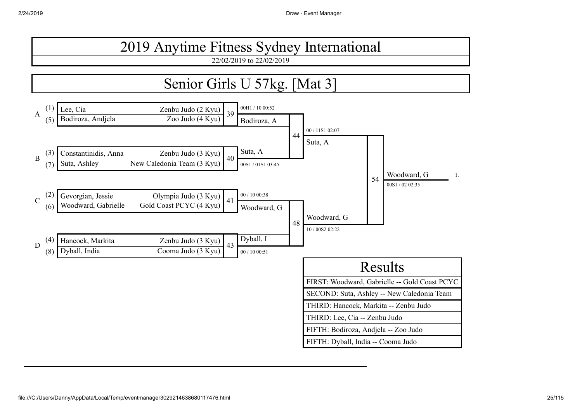### Senior Girls U 57kg. [Mat 3]

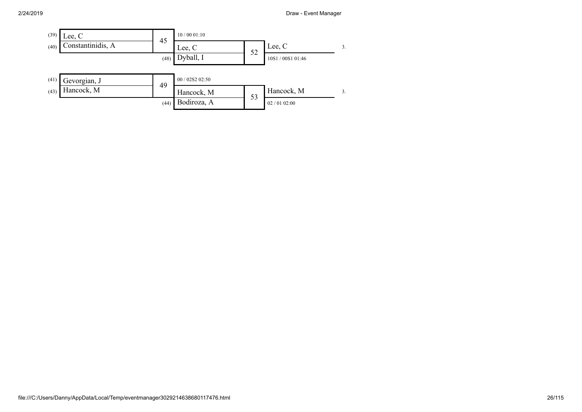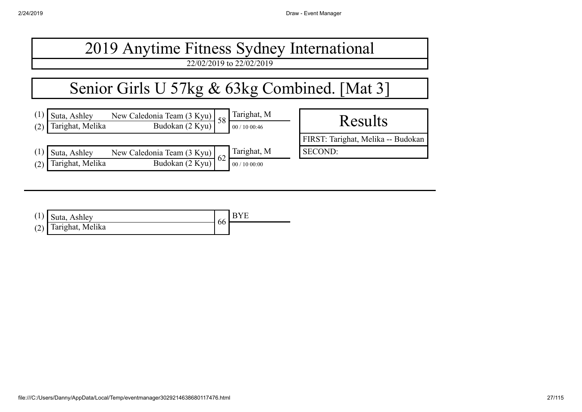e.

| 2019 Anytime Fitness Sydney International                                                                                                          |                                    |  |  |  |  |  |
|----------------------------------------------------------------------------------------------------------------------------------------------------|------------------------------------|--|--|--|--|--|
| 22/02/2019 to 22/02/2019                                                                                                                           |                                    |  |  |  |  |  |
| Senior Girls U 57kg & 63kg Combined. [Mat 3]                                                                                                       |                                    |  |  |  |  |  |
| Tarighat, M<br>Suta, Ashley<br>New Caledonia Team $\frac{(3 \text{ Kyu})}{\text{Budokan} (2 \text{ Kyu})}$ 58<br>Tarighat, Melika<br>00 / 10 00:46 | <b>Results</b>                     |  |  |  |  |  |
|                                                                                                                                                    | FIRST: Tarighat, Melika -- Budokan |  |  |  |  |  |
| Tarighat, M<br>Suta, Ashley<br>New Caledonia Team (3 Kyu)<br>Budokan (2 Kyu)<br>62                                                                 | <b>SECOND:</b>                     |  |  |  |  |  |
| Tarighat, Melika<br>00 / 10 00:00                                                                                                                  |                                    |  |  |  |  |  |

| $(1)$ Suta, Ashley   | <b>BYE</b><br>66 |  |  |
|----------------------|------------------|--|--|
| (2) Tarighat, Melika |                  |  |  |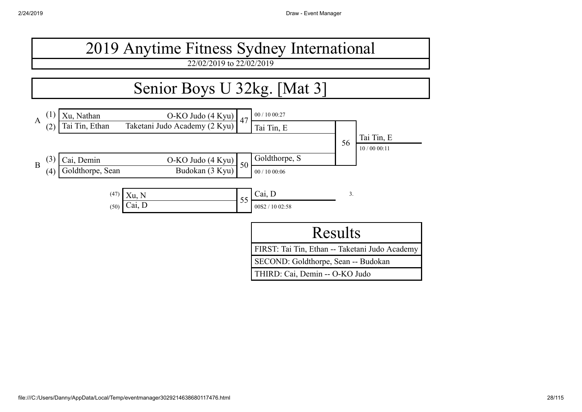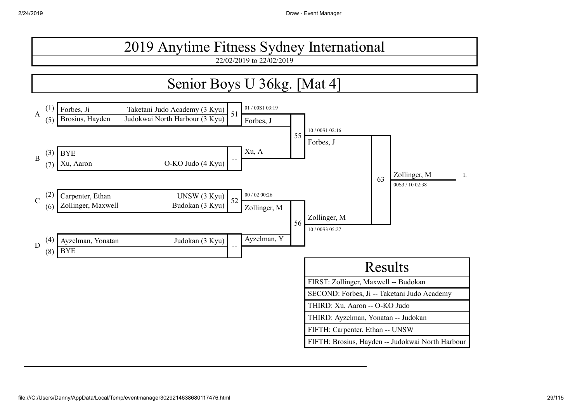22/02/2019 to 22/02/2019

### Senior Boys U 36kg. [Mat 4]

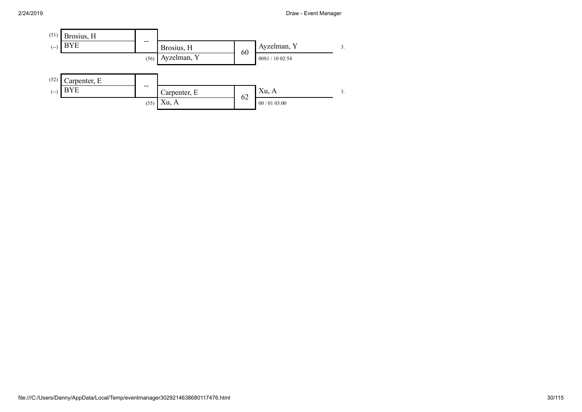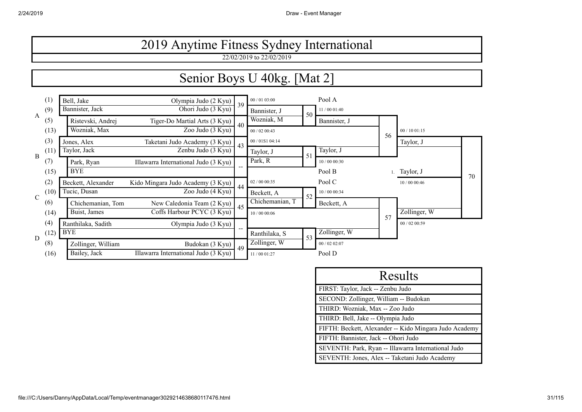22/02/2019 to 22/02/2019

#### Senior Boys U 40kg. [Mat 2]



| Results                                                |
|--------------------------------------------------------|
| FIRST: Taylor, Jack -- Zenbu Judo                      |
| SECOND: Zollinger, William -- Budokan                  |
| THIRD: Wozniak, Max -- Zoo Judo                        |
| THIRD: Bell, Jake -- Olympia Judo                      |
| FIFTH: Beckett, Alexander -- Kido Mingara Judo Academy |
| FIFTH. Bannister, Jack -- Ohori Judo                   |
| SEVENTH: Park, Ryan -- Illawarra International Judo    |
| SEVENTH: Jones, Alex -- Taketani Judo Academy          |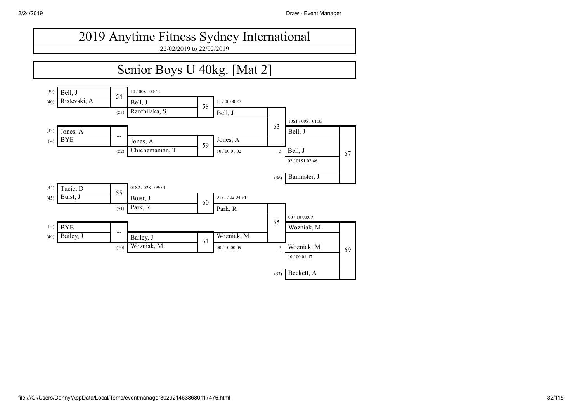### Senior Boys U 40kg. [Mat 2]

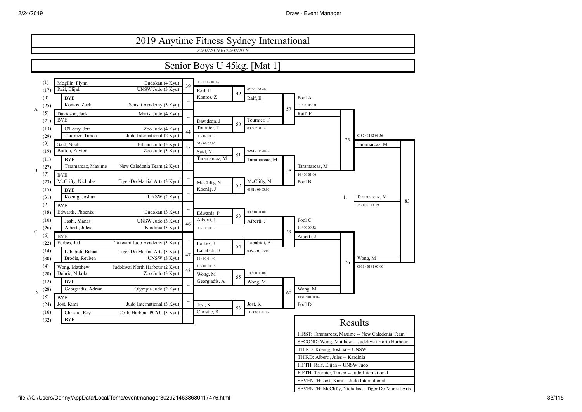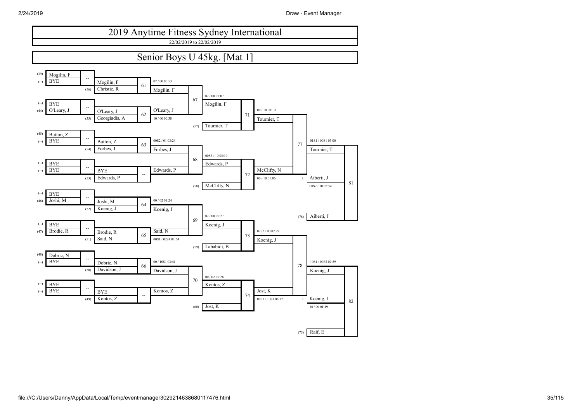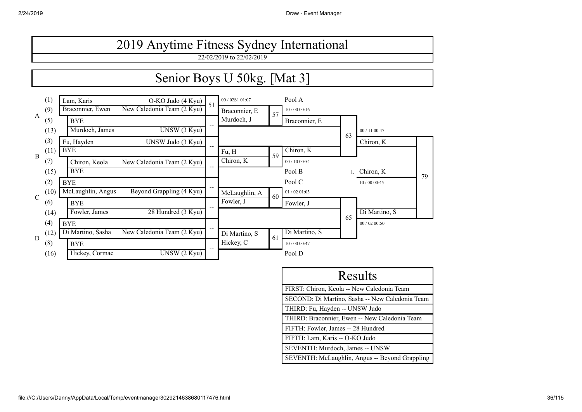

| Results                                         |
|-------------------------------------------------|
| FIRST: Chiron, Keola -- New Caledonia Team      |
| SECOND: Di Martino, Sasha -- New Caledonia Team |
| THIRD: Fu, Hayden -- UNSW Judo                  |
| THIRD: Braconnier, Ewen -- New Caledonia Team   |
| FIFTH: Fowler, James -- 28 Hundred              |
| FIFTH: Lam, Karis -- O-KO Judo                  |
| SEVENTH: Murdoch, James -- UNSW                 |
| SEVENTH: McLaughlin, Angus -- Beyond Grappling  |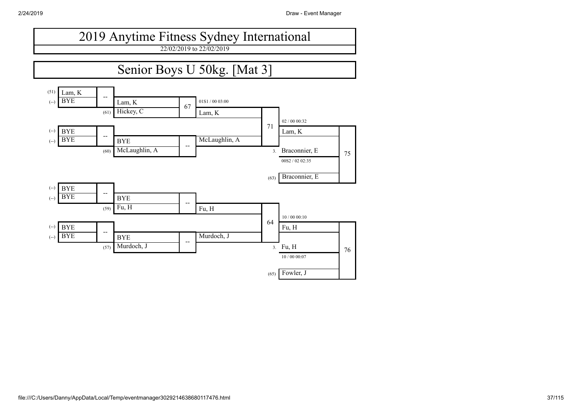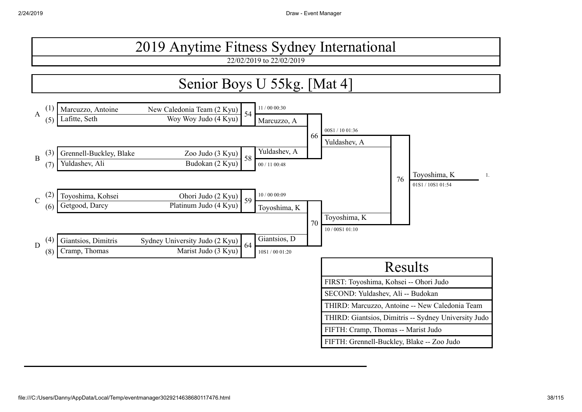22/02/2019 to 22/02/2019

### Senior Boys U 55kg. [Mat 4]

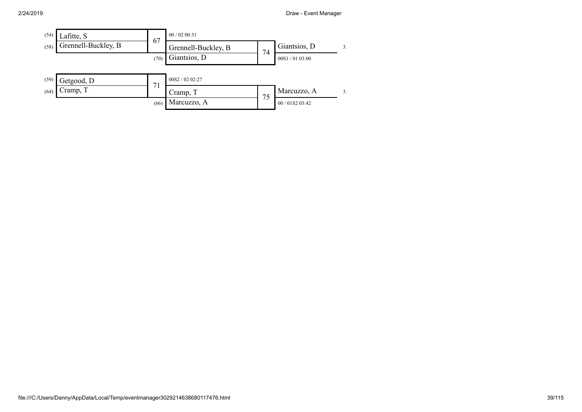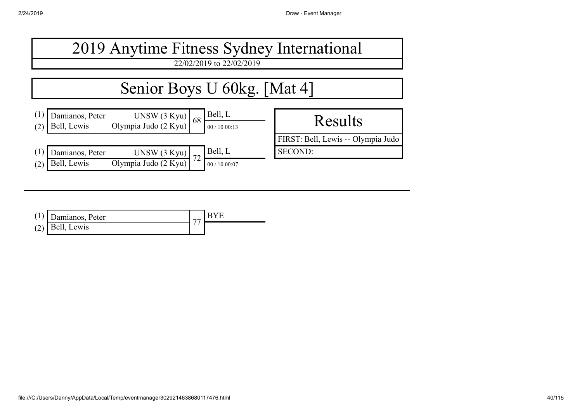| 2019 Anytime Fitness Sydney International                                                                    |                                    |  |  |  |  |
|--------------------------------------------------------------------------------------------------------------|------------------------------------|--|--|--|--|
| 22/02/2019 to 22/02/2019                                                                                     |                                    |  |  |  |  |
| Senior Boys U 60kg. [Mat 4]                                                                                  |                                    |  |  |  |  |
| Bell, L<br>Damianos, Peter<br>UNSW (3 Kyu)<br>Olympia Judo (2 Kyu)<br>68<br>Bell, Lewis<br>(2)<br>00/1000:13 | Results                            |  |  |  |  |
| Bell, L                                                                                                      | FIRST: Bell, Lewis -- Olympia Judo |  |  |  |  |
| Damianos, Peter<br>UNSW (3 Kyu)<br>Olympia Judo (2 Kyu)<br>(1)<br>72<br>Bell, Lewis<br>(2)<br>00 / 10 00:07  | <b>SECOND:</b>                     |  |  |  |  |

| $(1)$ Damianos, Peter | $\overline{\phantom{m}}$ |  |
|-----------------------|--------------------------|--|
| $(2)$ Bell, Lewis     |                          |  |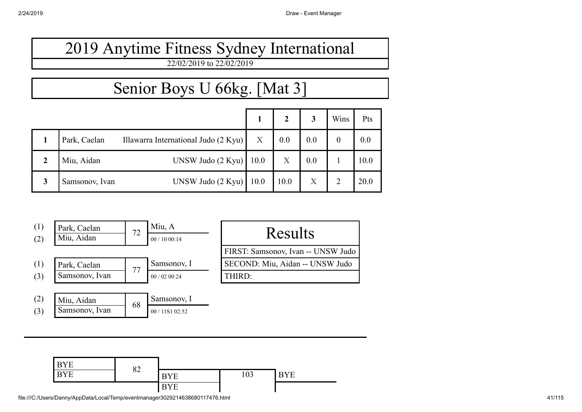#### 2019 Anytime Fitness Sydney International 22/02/2019 to 22/02/2019

### Senior Boys U 66kg. [Mat 3]

|   |                |                                      |      | $\mathbf 2$ | 3   | Wins           | Pts  |
|---|----------------|--------------------------------------|------|-------------|-----|----------------|------|
|   | Park, Caelan   | Illawarra International Judo (2 Kyu) | X    | 0.0         | 0.0 | $\overline{0}$ | 0.0  |
| 2 | Miu, Aidan     | UNSW Judo $(2$ Kyu $)$               | 10.0 | X           | 0.0 |                | 10.0 |
| 3 | Samsonov, Ivan | UNSW Judo (2 Kyu)                    | 10.0 | 10.0        | X   | $\overline{2}$ | 20.0 |





(3) Samsonov, Ivan <sup>00</sup> / 11S1 02:52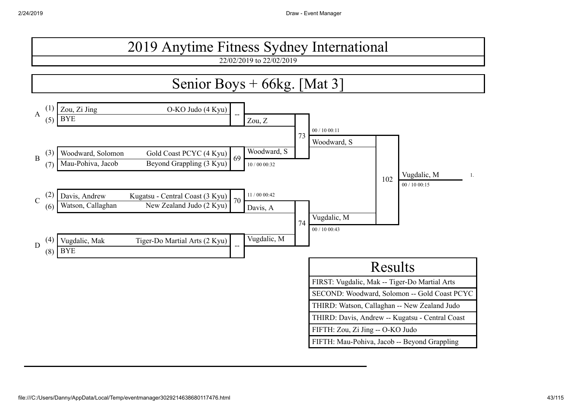22/02/2019 to 22/02/2019

### Senior Boys + 66kg. [Mat 3]

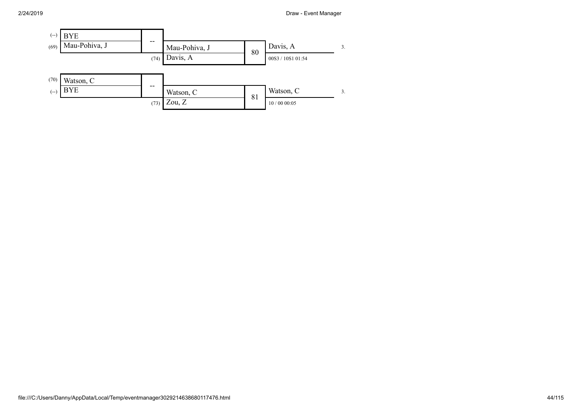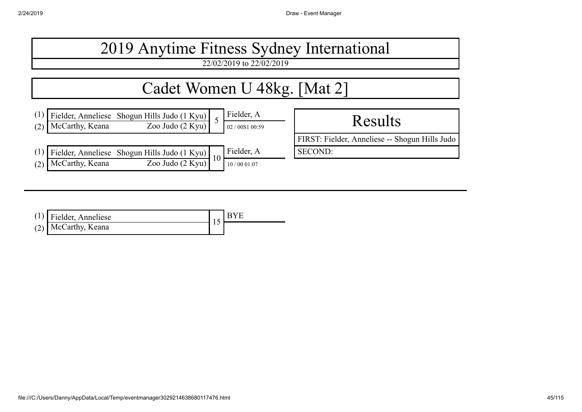

| $(1)$ Fielder, Anneliese | <b>BYE</b> |
|--------------------------|------------|
| $(2)$ McCarthy, Keana    |            |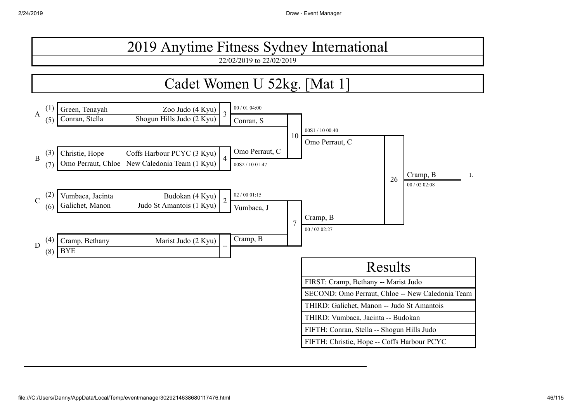22/02/2019 to 22/02/2019

### Cadet Women U 52kg. [Mat 1]

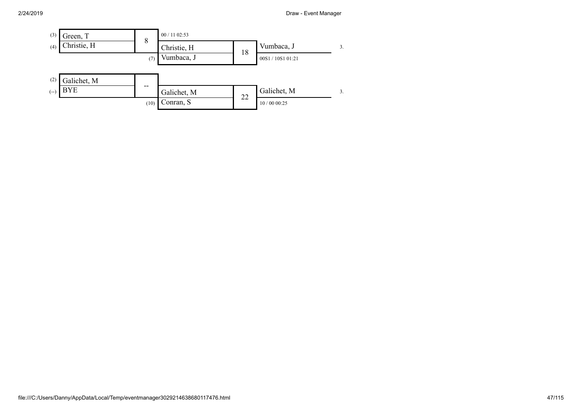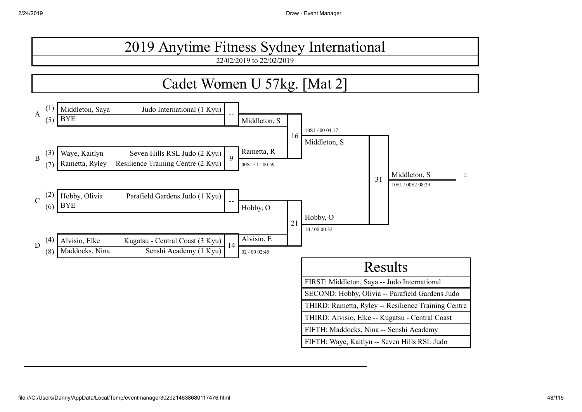#### 2019 Anytime Fitness Sydney International 22/02/2019 to 22/02/2019

### Cadet Women U 57kg. [Mat 2]

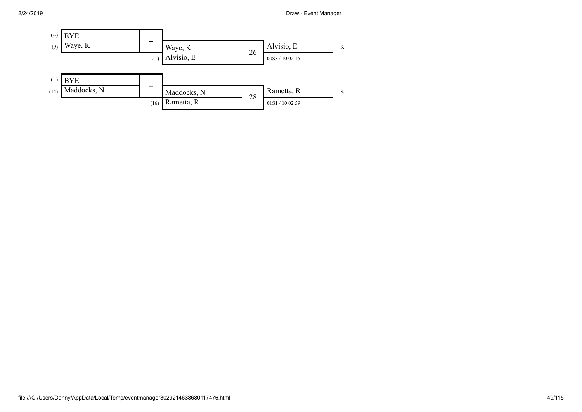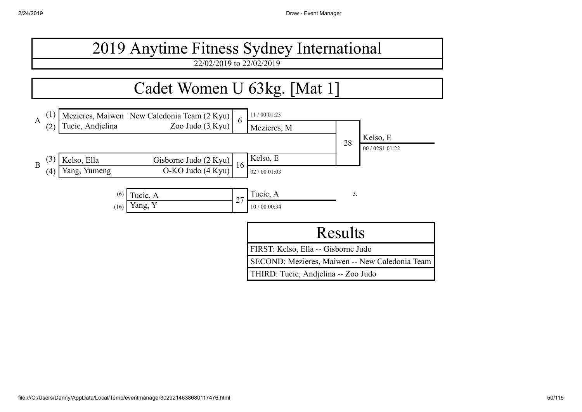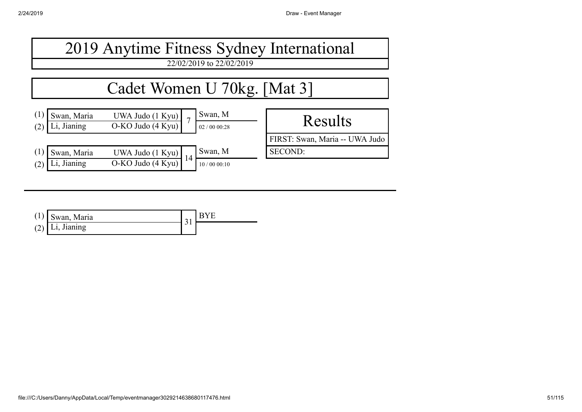| 2019 Anytime Fitness Sydney International                                    |                                         |                                |  |  |  |  |
|------------------------------------------------------------------------------|-----------------------------------------|--------------------------------|--|--|--|--|
| 22/02/2019 to 22/02/2019                                                     |                                         |                                |  |  |  |  |
| Cadet Women U 70kg. [Mat 3]                                                  |                                         |                                |  |  |  |  |
|                                                                              |                                         |                                |  |  |  |  |
| Swan, Maria<br>UWA Judo (1 Kyu)<br>O-KO Judo $(4$ Kyu)<br>Li, Jianing<br>(2) | Swan, M<br>$\overline{7}$<br>02/0000:28 | <b>Results</b>                 |  |  |  |  |
|                                                                              |                                         | FIRST: Swan, Maria -- UWA Judo |  |  |  |  |
| (1)<br>Swan, Maria<br>UWA Judo (1 Kyu)                                       | Swan, M<br>14                           | <b>SECOND:</b>                 |  |  |  |  |
| O-KO Judo (4 Kyu)<br>Li, Jianing                                             | 10/0000:10                              |                                |  |  |  |  |

| $(1)$ Swan, Maria | $\sim$ | BYE |
|-------------------|--------|-----|
| $(2)$ Li, Jianing |        |     |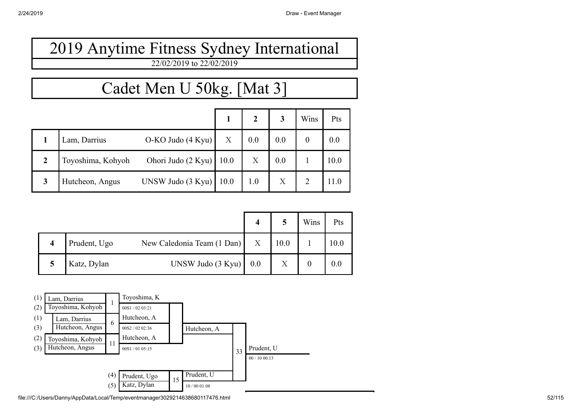## Cadet Men U 50kg. [Mat 3]

|              |                   |                       |                  | $\overline{2}$ |     | Wins | Pts  |
|--------------|-------------------|-----------------------|------------------|----------------|-----|------|------|
|              | Lam, Darrius      | $O-KO$ Judo $(4$ Kyu) | $\boldsymbol{X}$ | 0.0            | 0.0 |      | 0.0  |
| $\mathbf{2}$ | Toyoshima, Kohyoh | Ohori Judo (2 Kyu)    | 10.0             | X              | 0.0 |      | 10.0 |
| 3            | Hutcheon, Angus   | UNSW Judo $(3 Kyu)$   | 10.0             | 1.0            |     |      | 11.0 |

|                         |              |                            | 4                |      | Wins | Pts  |
|-------------------------|--------------|----------------------------|------------------|------|------|------|
| $\overline{\mathbf{4}}$ | Prudent, Ugo | New Caledonia Team (1 Dan) | $\boldsymbol{X}$ | 10.0 |      | 10.0 |
| 5                       | Katz, Dylan  | UNSW Judo $(3 Kyu)$ 0.0    |                  | X    |      | 0.0  |

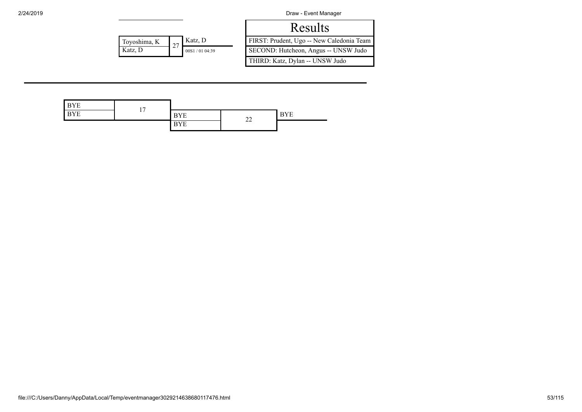| FIRST: Prudent, Ugo -- New Caledonia Team |
|-------------------------------------------|
| SECOND: Hutcheon, Angus -- UNSW Judo      |
| THIRD: Katz, Dylan -- UNSW Judo           |
|                                           |

| <b>BYE</b> | $\overline{ }$ |            |                          |            |
|------------|----------------|------------|--------------------------|------------|
| <b>BYE</b> |                | <b>BYE</b> | $\mathbf{A}$             | <b>BYE</b> |
|            |                | <b>BYE</b> | $\overline{\phantom{a}}$ |            |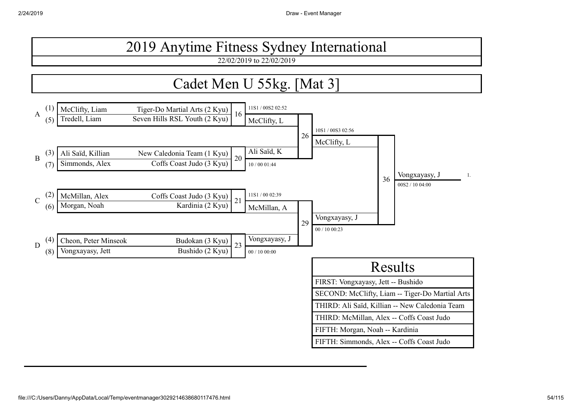22/02/2019 to 22/02/2019

#### Cadet Men U 55kg. [Mat 3] A McClifty, Liam Tiger-Do Martial Arts (2 Kyu) 16 11S1 / 00S2 02:52 Tredell, Liam Seven Hills RSL Youth  $(2 Kyu)$  <sup>16</sup> McClifty, L 26 10S1 / 00S3 02:56 McClifty, L 36 B (3) Ali Saïd, Killian New Caledonia Team (1 Kyu) 20 Ali Saïd, K (7) Simmonds, Alex Coffs Coast Judo  $(3 \text{ Kyu})$ <sup>20</sup>  $\boxed{10/0001:44}$ Vongxayasy, J 1. 00S2 / 10 04:00  $\mathcal{C}$ McMillan, Alex Coffs Coast Judo (3 Kyu) 21 11S1 / 00 02:39  $(6)$  Morgan, Noah Kardinia (2 Kyu)  $\lambda$ <sup>1</sup> McMillan, A 29 Vongxayasy, J 00 / 10 00:23 D (4) Cheon, Peter Minseok Budokan (3 Kyu) 23 Vongxayasy, J (8) Vongxayasy, Jett Bushido (2 Kyu)  $\begin{bmatrix} 25 \\ 00/100000 \end{bmatrix}$ Results FIRST: Vongxayasy, Jett -- Bushido SECOND: McClifty, Liam -- Tiger-Do Martial Arts THIRD: Ali Saïd, Killian -- New Caledonia Team THIRD: McMillan, Alex -- Coffs Coast Judo FIFTH: Morgan, Noah -- Kardinia FIFTH: Simmonds, Alex -- Coffs Coast Judo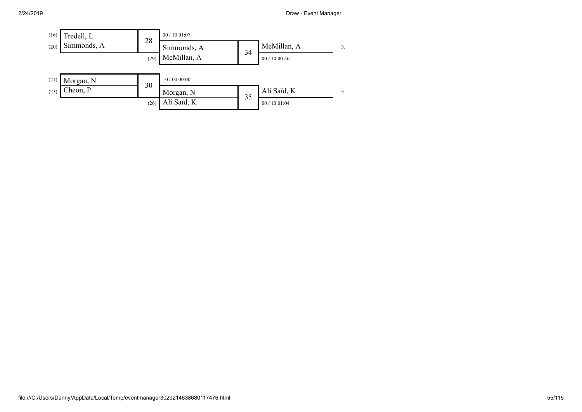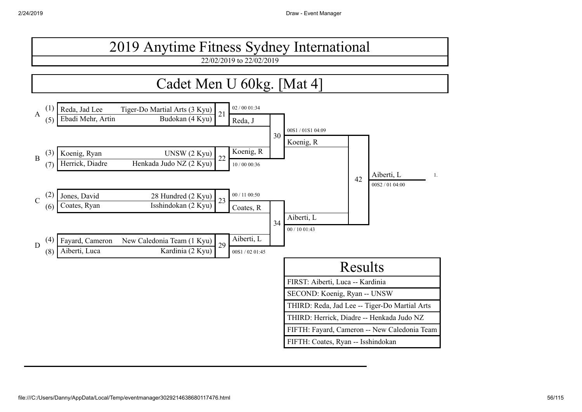22/02/2019 to 22/02/2019

### Cadet Men U 60kg. [Mat 4]

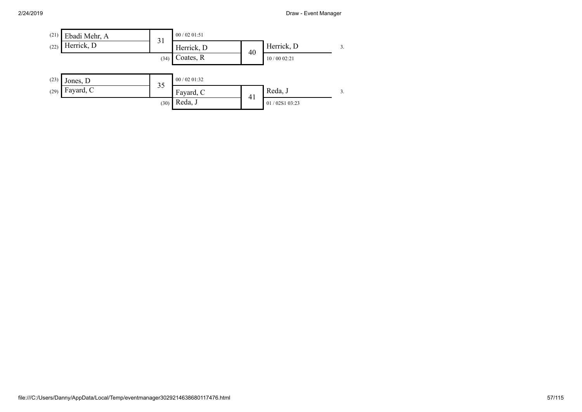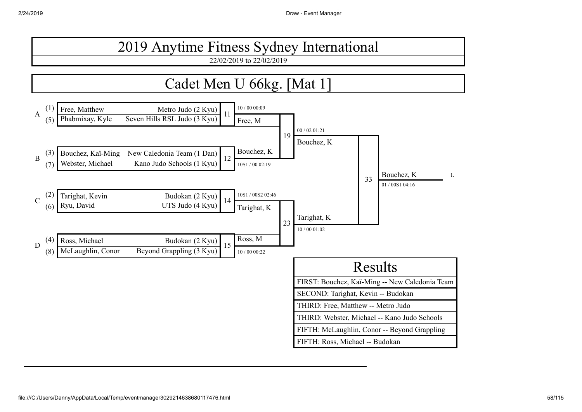

### Cadet Men U 66kg. [Mat 1]

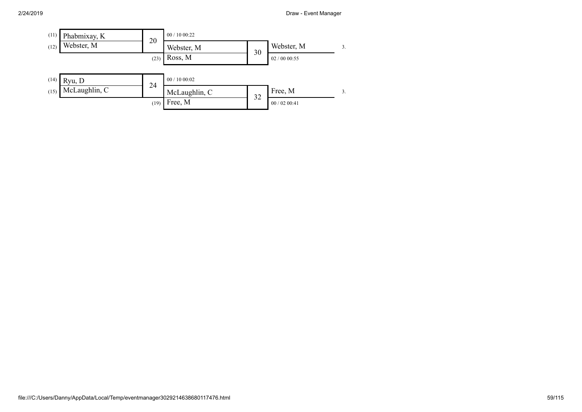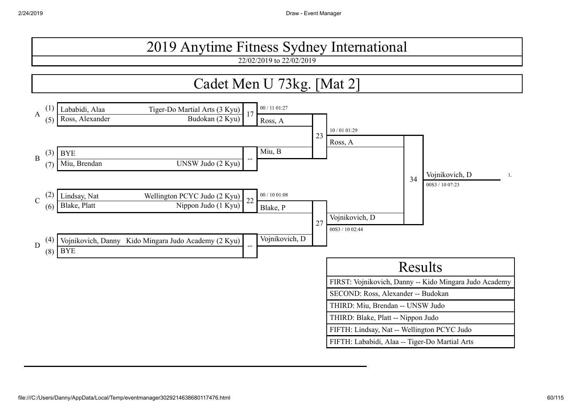22/02/2019 to 22/02/2019

### Cadet Men U 73kg. [Mat 2]

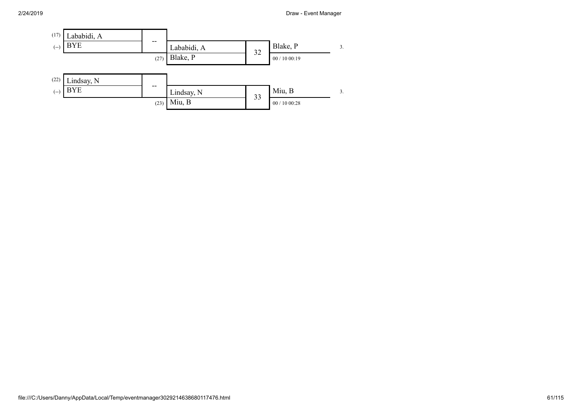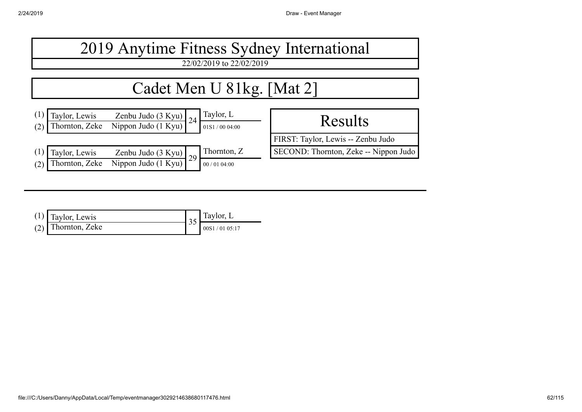| 2019 Anytime Fitness Sydney International                                                                                                          |                                                                             |  |  |  |  |  |
|----------------------------------------------------------------------------------------------------------------------------------------------------|-----------------------------------------------------------------------------|--|--|--|--|--|
| 22/02/2019 to 22/02/2019                                                                                                                           |                                                                             |  |  |  |  |  |
| Cadet Men U 81kg. [Mat 2]                                                                                                                          |                                                                             |  |  |  |  |  |
| Taylor, L<br>Taylor, Lewis<br>$\frac{\text{Zenbu Judo (3 Kyu)}}{\text{Nippon Judo (1 Kyu)}}$ 24<br>(1)<br>Thornton, Zeke<br>(2)<br>01S1 / 00 04:00 | Results                                                                     |  |  |  |  |  |
| Thornton, Z<br>Taylor, Lewis<br>$\frac{\text{Zenbu Judo (3 Kyu)}}{\text{Nippon Judo (1 Kyu)}}$ 29<br>Thornton, Zeke<br>(2)<br>00/0104:00           | FIRST: Taylor, Lewis -- Zenbu Judo<br>SECOND: Thornton, Zeke -- Nippon Judo |  |  |  |  |  |

| $(1)$ Taylor, Lewis  | $\bigcup_{\alpha \in \mathbb{R}}$ Taylor, L |
|----------------------|---------------------------------------------|
| $(2)$ Thornton, Zeke | 00S1 / 01 05:17                             |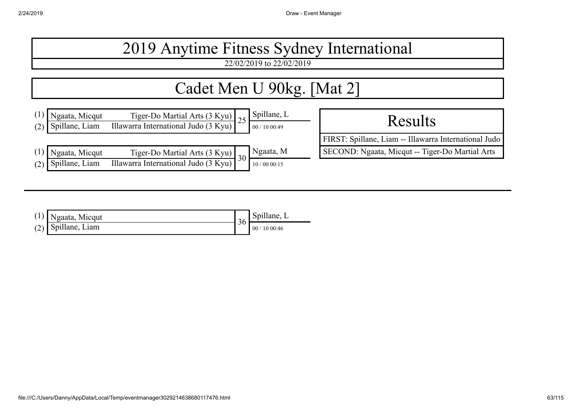22/02/2019 to 22/02/2019



| $(1)$ Ngaata, Micqut |    | Spillane, L |
|----------------------|----|-------------|
| $(2)$ Spillane, Liam | 30 | 00/1000:46  |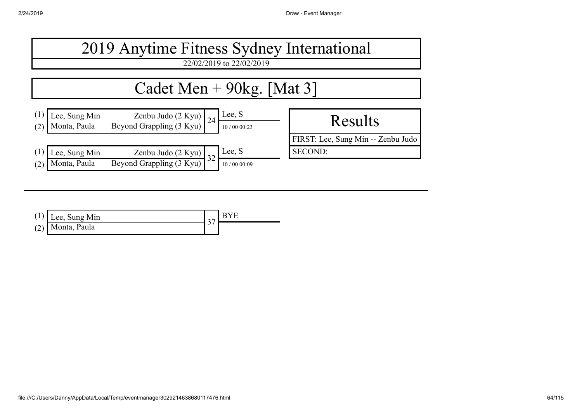| 2019 Anytime Fitness Sydney International                                                                                                               |                                    |  |  |  |  |
|---------------------------------------------------------------------------------------------------------------------------------------------------------|------------------------------------|--|--|--|--|
| 22/02/2019 to 22/02/2019                                                                                                                                |                                    |  |  |  |  |
| Cadet Men $+$ 90kg. [Mat 3]                                                                                                                             |                                    |  |  |  |  |
| Lee, S<br>Lee, Sung Min<br>$\frac{Zenbu \text{ Judo} (2 \text{ Kyu})}{\text{Beyond Graphing} (3 \text{ Kyu})}$ 24<br>Monta, Paula<br>(2)<br>10/00 00:23 | Results                            |  |  |  |  |
|                                                                                                                                                         | FIRST: Lee, Sung Min -- Zenbu Judo |  |  |  |  |
| Lee, S<br>Lee, Sung Min<br>$\frac{Zenbu \text{ Judo} (2 \text{ Kyu})}{\text{Beyond Graphing} (3 \text{ Kyu})}$ 32                                       | <b>SECOND:</b>                     |  |  |  |  |
| Monta, Paula<br>(2)<br>10/00 00:09                                                                                                                      |                                    |  |  |  |  |

| $(1)$ Lee, Sung Min | <b>I</b> BYE |
|---------------------|--------------|
| (2) Monta, Paula    |              |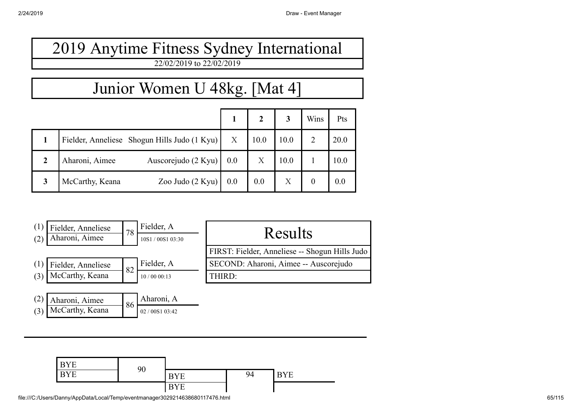#### 2019 Anytime Fitness Sydney International 22/02/2019 to 22/02/2019

Junior Women U 48kg. [Mat 4]

|                |                                              |     |                  | 3    | Wins | Pts  |
|----------------|----------------------------------------------|-----|------------------|------|------|------|
|                | Fielder, Anneliese Shogun Hills Judo (1 Kyu) |     | 10.0             | 10.0 |      | 20.0 |
| $\overline{2}$ | Auscorejudo (2 Kyu)<br>Aharoni, Aimee        | 0.0 | $\boldsymbol{X}$ | 10.0 |      | 10.0 |
| 3              | Zoo Judo $(2$ Kyu $)$<br>McCarthy, Keana     | 0.0 | 0.0              | X    |      | 0.0  |





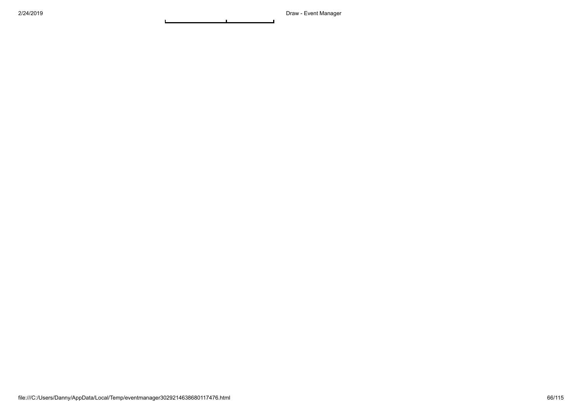$\mathbf{r}$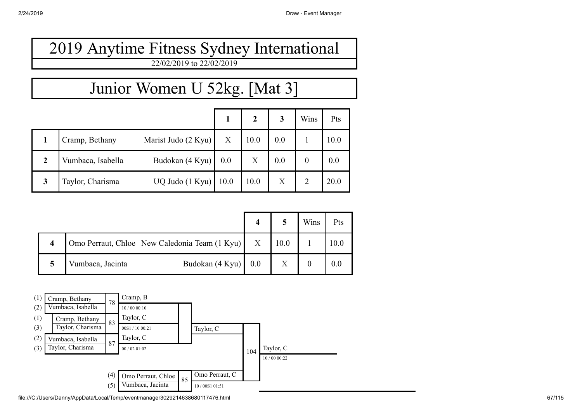### Junior Women U 52kg. [Mat 3]

|             |                   |                     |      |      |     | Wins | Pts  |
|-------------|-------------------|---------------------|------|------|-----|------|------|
|             | Cramp, Bethany    | Marist Judo (2 Kyu) | X    | 10.0 | 0.0 |      | 10.0 |
| $\mathbf 2$ | Vumbaca, Isabella | Budokan (4 Kyu)     | 0.0  | X    | 0.0 |      | 0.0  |
| 3           | Taylor, Charisma  | UQ Judo (1 Kyu)     | 10.0 | 10.0 | X   |      | 20.0 |

|                         |                                                 |                          |      | Wins | Pts |
|-------------------------|-------------------------------------------------|--------------------------|------|------|-----|
| $\overline{\mathbf{4}}$ | Omo Perraut, Chloe New Caledonia Team (1 Kyu) X |                          | 10.0 |      |     |
| 5                       | Vumbaca, Jacinta                                | Budokan $(4$ Kyu $)$ 0.0 |      |      | 0.0 |

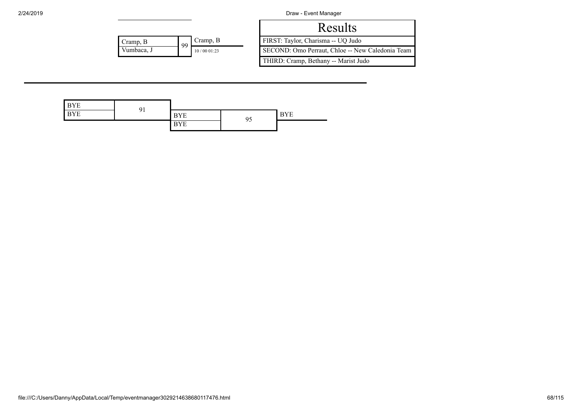| Cramp, B   | 99 | Cramp, B    |
|------------|----|-------------|
| Vumbaca, J |    | 10/00 01:23 |
|            |    |             |

|            |    |            | Results                                          |
|------------|----|------------|--------------------------------------------------|
| Cramp, B   | 99 | Cramp, B   | FIRST: Taylor, Charisma -- UQ Judo               |
| Vumbaca. J |    | 10/0001:23 | SECOND: Omo Perraut, Chloe -- New Caledonia Team |
|            |    |            | THIRD: Cramp, Bethany -- Marist Judo             |

| <b>BYE</b> | Q <sub>1</sub> |            |    |            |
|------------|----------------|------------|----|------------|
| <b>BYE</b> | ノエ             | <b>BYE</b> | 95 | <b>BYE</b> |
|            |                | <b>BYE</b> |    |            |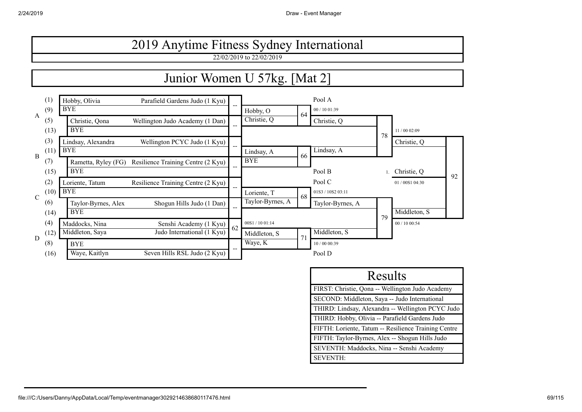22/02/2019 to 22/02/2019

#### Junior Women U 57kg. [Mat 2]



| Results                                              |
|------------------------------------------------------|
| FIRST: Christie, Qona -- Wellington Judo Academy     |
| SECOND: Middleton, Saya -- Judo International        |
| THIRD: Lindsay, Alexandra -- Wellington PCYC Judo    |
| THIRD: Hobby, Olivia -- Parafield Gardens Judo       |
| FIFTH: Loriente, Tatum -- Resilience Training Centre |
| FIFTH: Taylor-Byrnes, Alex -- Shogun Hills Judo      |
| SEVENTH: Maddocks, Nina -- Senshi Academy            |
| <b>SEVENTH:</b>                                      |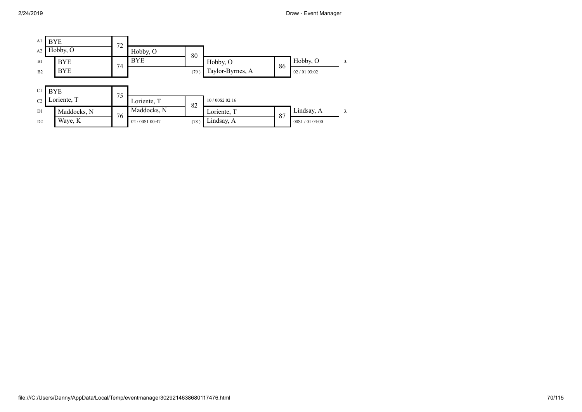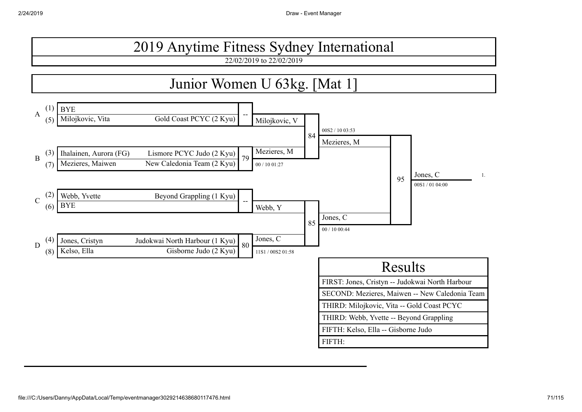22/02/2019 to 22/02/2019

### Junior Women U 63kg. [Mat 1]

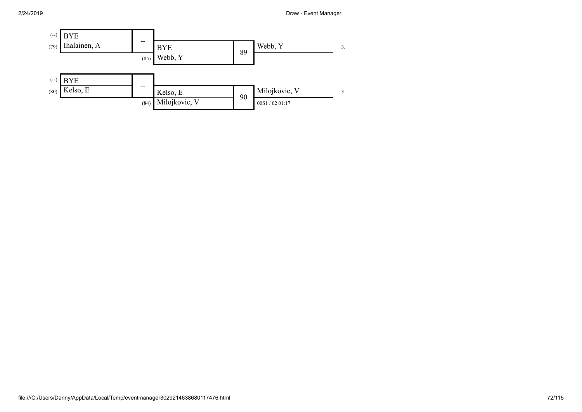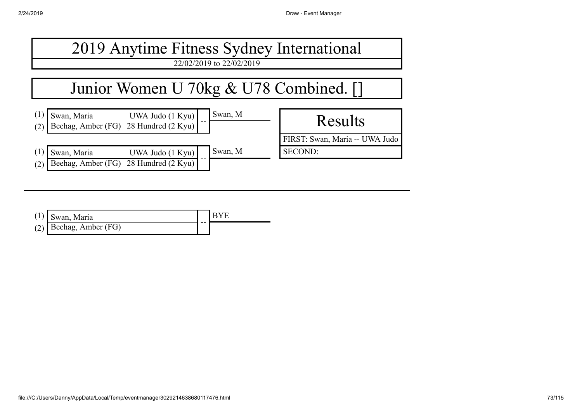| 2019 Anytime Fitness Sydney International                                                                   |                                                  |  |  |  |  |  |
|-------------------------------------------------------------------------------------------------------------|--------------------------------------------------|--|--|--|--|--|
| 22/02/2019 to 22/02/2019                                                                                    |                                                  |  |  |  |  |  |
| Junior Women U 70kg & U78 Combined. []                                                                      |                                                  |  |  |  |  |  |
| Swan, M<br>Swan, Maria UWA Judo (1 Kyu)<br>Beehag, Amber (FG) 28 Hundred (2 Kyu)<br>$\left(1\right)$<br>(2) | <b>Results</b>                                   |  |  |  |  |  |
| Swan, M<br>Swan, Maria<br>UWA Judo (1 Kyu)<br>(1)                                                           | FIRST: Swan, Maria -- UWA Judo<br><b>SECOND:</b> |  |  |  |  |  |
| Beehag, Amber (FG) 28 Hundred (2 Kyu)<br>(2)                                                                |                                                  |  |  |  |  |  |

| $(1)$ Swan, Maria        |    | <b>BYE</b> |
|--------------------------|----|------------|
| $(2)$ Beehag, Amber (FG) | -- |            |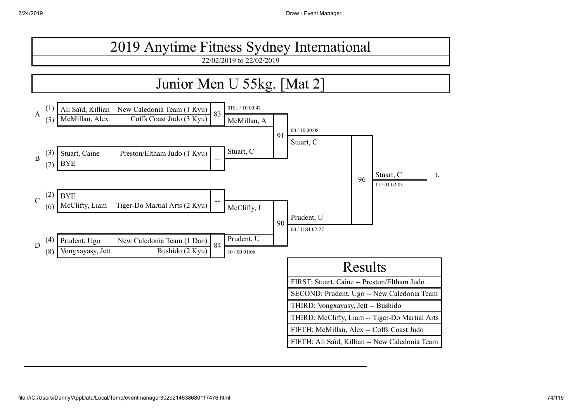22/02/2019 to 22/02/2019

### Junior Men U 55kg. [Mat 2]

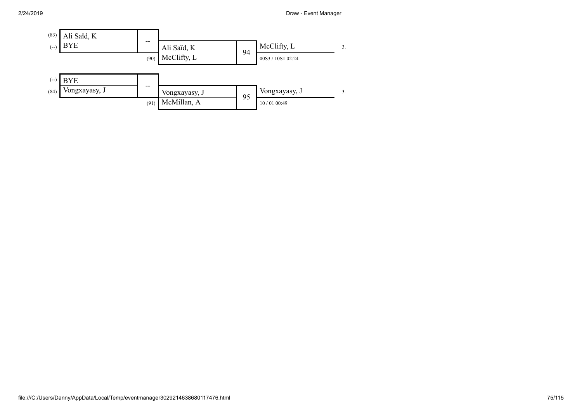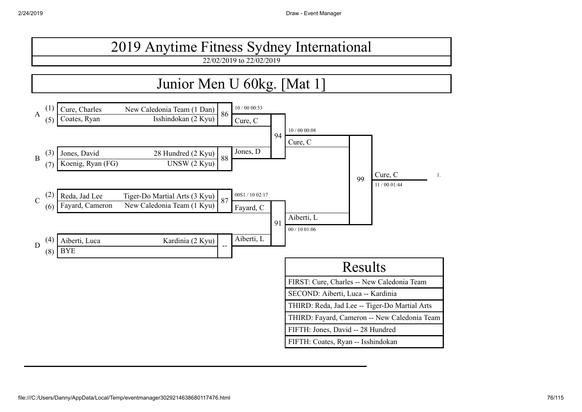#### Junior Men U 60kg. [Mat 1]

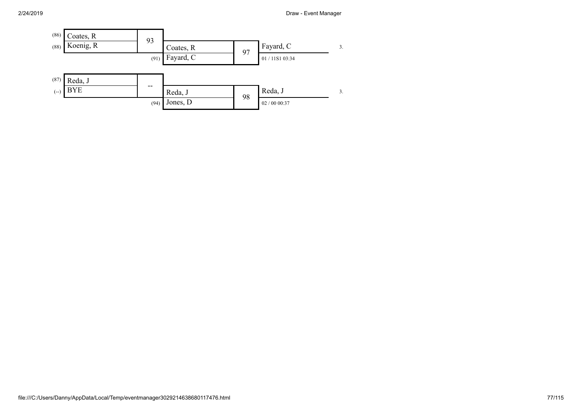

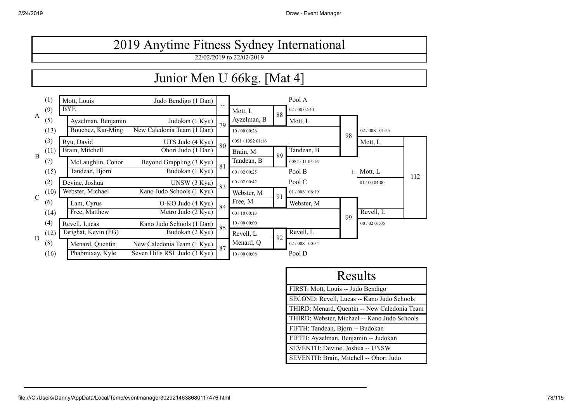#### Junior Men U 66kg. [Mat 4]

|               | (1)  | Mott, Louis          | Judo Bendigo (1 Dan)         |    |                 |    | Pool A          |    |               |     |
|---------------|------|----------------------|------------------------------|----|-----------------|----|-----------------|----|---------------|-----|
| $\mathbf{A}$  | (9)  | <b>BYE</b>           |                              |    | Mott, L         | 88 | 02/0002:40      |    |               |     |
|               | (5)  | Ayzelman, Benjamin   | Judokan (1 Kyu)              | 79 | Ayzelman, B     |    | Mott, L         |    |               |     |
|               | (13) | Bouchez, Kaï-Ming    | New Caledonia Team (1 Dan)   |    | 10/00 00:26     |    |                 | 98 | 02/0081 01:25 |     |
|               | (3)  | Ryu, David           | UTS Judo (4 Kyu)             | 80 | 00S1/10S2 01:16 |    |                 |    | Mott, L       |     |
| $\mathbf{B}$  | (11) | Brain, Mitchell      | Ohori Judo (1 Dan)           |    | Brain, M        | 89 | Tandean, B      |    |               |     |
|               | (7)  | McLaughlin, Conor    | Beyond Grappling (3 Kyu)     | 81 | Tandean, B      |    | 00S2 / 11 03:16 |    |               |     |
|               | (15) | Tandean, Bjorn       | Budokan (1 Kyu)              |    | 00 / 02 00:25   |    | Pool B          |    | Mott, L       | 112 |
|               | (2)  | Devine, Joshua       | UNSW (3 Kyu)                 | 83 | 00 / 02 00:42   |    | Pool C          |    | 01/0004:00    |     |
| $\mathcal{C}$ | (10) | Webster, Michael     | Kano Judo Schools (1 Kyu)    |    | Webster, M      | 91 | 01/00S1 06:19   |    |               |     |
|               | (6)  | Lam, Cyrus           | O-KO Judo (4 Kyu)            | 84 | Free, M         |    | Webster, M      |    |               |     |
|               | (14) | Free, Matthew        | Metro Judo (2 Kyu)           |    | 00/1000:13      |    |                 | 99 | Revell, L     |     |
|               | (4)  | Revell, Lucas        | Kano Judo Schools (1 Dan)    | 85 | 10/00 00:00     |    |                 |    | 00 / 02 01:05 |     |
|               | (12) | Tarighat, Kevin (FG) | Budokan (2 Kyu)              |    | Revell, L       | 92 | Revell, L       |    |               |     |
| D             | (8)  | Menard, Quentin      | New Caledonia Team (1 Kyu)   | 87 | Menard, Q       |    | 02/00S1 00:54   |    |               |     |
|               | (16) | Phabmixay, Kyle      | Seven Hills RSL Judo (3 Kyu) |    | 10 / 00 00:08   |    | Pool D          |    |               |     |

| Results                                      |
|----------------------------------------------|
| FIRST: Mott, Louis -- Judo Bendigo           |
| SECOND: Revell, Lucas -- Kano Judo Schools   |
| THIRD: Menard, Quentin -- New Caledonia Team |
| THIRD: Webster, Michael -- Kano Judo Schools |
| FIFTH: Tandean, Bjorn -- Budokan             |
| FIFTH: Ayzelman, Benjamin -- Judokan         |
| SEVENTH: Devine, Joshua -- UNSW              |
| SEVENTH: Brain, Mitchell -- Ohori Judo       |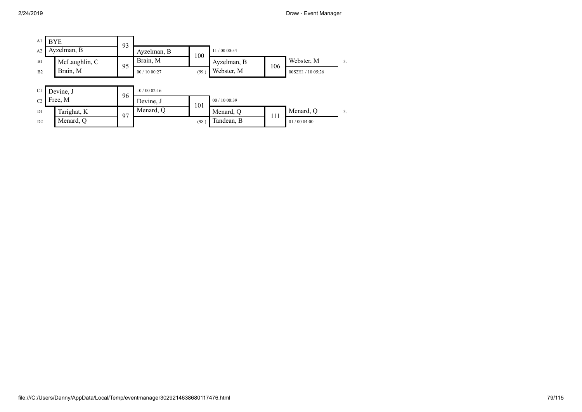| A1             | <b>BYE</b>    | 93 |             |      |               |     |                   |                |
|----------------|---------------|----|-------------|------|---------------|-----|-------------------|----------------|
| A2             | Ayzelman, B   |    | Ayzelman, B | 100  | 11 / 00 00:54 |     |                   |                |
| B1             | McLaughlin, C | 95 | Brain, M    |      | Ayzelman, B   | 106 | Webster, M        | 3.             |
| B <sub>2</sub> | Brain, M      |    | 00/1000:27  | (99) | Webster, M    |     | 00S2H1 / 10 05:26 |                |
|                |               |    |             |      |               |     |                   |                |
| C <sub>1</sub> | Devine, J     | 96 | 10/0002:16  |      |               |     |                   |                |
| C <sub>2</sub> | Free, M       |    | Devine, J   | 101  | 00 / 10 00:39 |     |                   |                |
| D1             | Tarighat, K   | 97 | Menard, Q   |      | Menard, Q     | 111 | Menard, Q         | 3 <sub>1</sub> |
| D2             | Menard, Q     |    |             | (98) | Tandean, B    |     | 01/0004:00        |                |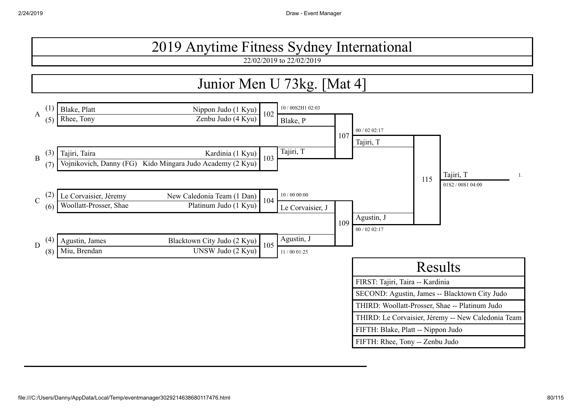22/02/2019 to 22/02/2019

#### Junior Men U 73kg. [Mat 4]

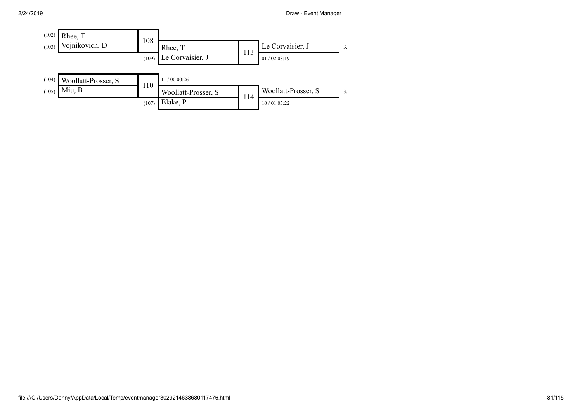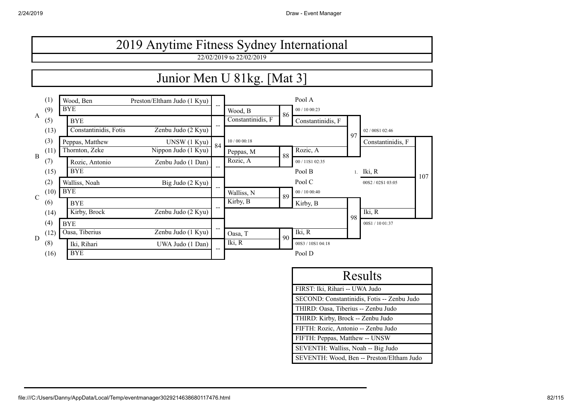

| Results                                     |
|---------------------------------------------|
| FIRST. Iki, Rihari -- UWA Judo              |
| SECOND: Constantinidis, Fotis -- Zenbu Judo |
| THIRD: Oasa, Tiberius -- Zenbu Judo         |
| THIRD: Kirby, Brock -- Zenbu Judo           |
| FIFTH: Rozic, Antonio -- Zenbu Judo         |
| FIFTH: Peppas, Matthew -- UNSW              |
| SEVENTH: Walliss, Noah -- Big Judo          |
| SEVENTH: Wood, Ben -- Preston/Eltham Judo   |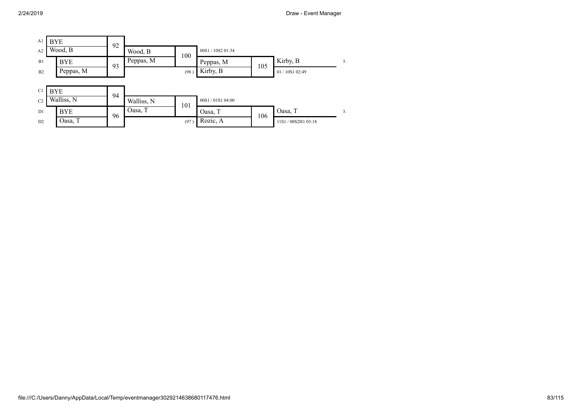| A <sub>1</sub> | <b>BYE</b> | 92 |                |      |                       |     |                  |    |
|----------------|------------|----|----------------|------|-----------------------|-----|------------------|----|
| A2             | Wood, B    |    | Wood, B<br>100 |      | 00S1 / 10S2 01:34     |     |                  |    |
| B1             | <b>BYE</b> | 93 | Peppas, M      |      | Peppas, M             | 105 | Kirby, B         | 3. |
| B2             | Peppas, M  |    |                | (98) | Kirby, B              |     | 01/10S1 02:49    |    |
|                |            |    |                |      |                       |     |                  |    |
| C1             | <b>BYE</b> | 94 |                |      |                       |     |                  |    |
| C2             | Walliss, N |    | Walliss, N     | 101  | 00S1/01S1 04:00       |     |                  |    |
| D1             | <b>BYE</b> | 96 | Oasa, T        |      | Oasa, T               | 106 | Oasa, T          | 3. |
| D2             | Oasa, T    |    |                | (97) | Rozic, $\overline{A}$ |     | 11S1/00S2H103:18 |    |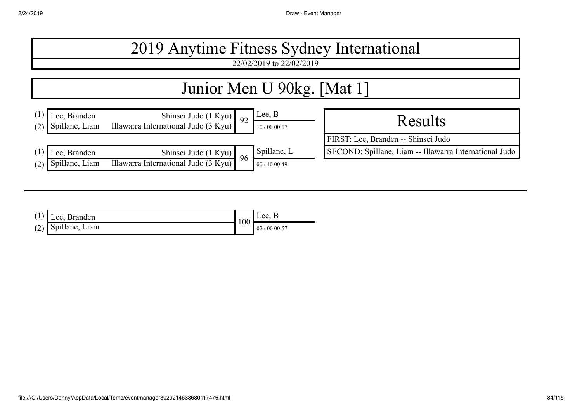22/02/2019 to 22/02/2019

| Junior Men U 90kg. [Mat 1]            |                                                                     |    |                           |                                                        |  |
|---------------------------------------|---------------------------------------------------------------------|----|---------------------------|--------------------------------------------------------|--|
| (2)                                   | Lee, Branden<br>Spillane, Liam Illawarra International Judo (3 Kyu) | 92 | Lee, $B$<br>10/00 00:17   | Results                                                |  |
|                                       |                                                                     |    |                           | FIRST: Lee, Branden -- Shinsei Judo                    |  |
| Lee, Branden<br>Spillane, Liam<br>(2) | Shinsei Judo (1 Kyu)<br>Illawarra International Judo (3 Kyu)        | 96 | Spillane, L<br>00/1000:49 | SECOND: Spillane, Liam -- Illawarra International Judo |  |

| $(1)$ Lee, Branden   | 100 | Lee, B         |
|----------------------|-----|----------------|
| $(2)$ Spillane, Liam |     | 0000:57<br>02/ |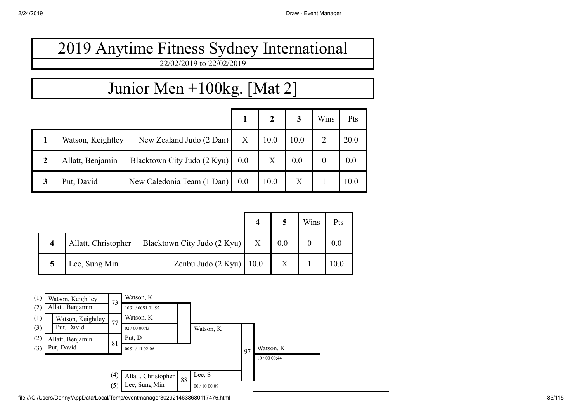### Junior Men +100kg. [Mat 2]

|                |                                                              |     |      |      | Wins | Pts  |
|----------------|--------------------------------------------------------------|-----|------|------|------|------|
|                | New Zealand Judo (2 Dan)<br>Watson, Keightley                | X   | 10.0 | 10.0 | ∍    | 20.0 |
| $\overline{2}$ | Blacktown City Judo (2 Kyu)<br>Allatt, Benjamin              | 0.0 | X    | 0.0  |      | 0.0  |
| 3              | New Caledonia Team $(1 \text{ Dan}) \cdot 0.0$<br>Put, David |     | 10.0 | X    |      | 10.0 |

|  |                     |                                           |     | Wins | Pts  |
|--|---------------------|-------------------------------------------|-----|------|------|
|  | Allatt, Christopher | Blacktown City Judo (2 Kyu) X             | 0.0 |      |      |
|  | Lee, Sung Min       | Zenbu Judo (2 Kyu) $\vert$ 10.0 $\vert$ X |     |      | 10.0 |

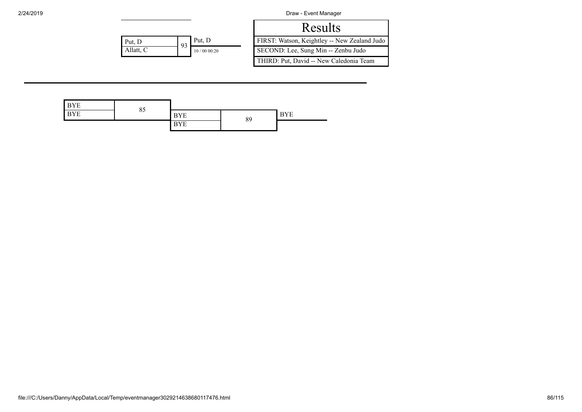|           |    |             | <b>Results</b>                         |
|-----------|----|-------------|----------------------------------------|
| Put. D    | 93 | Put, D      | FIRST. Watson, Keightley -- New Zealan |
| Allatt, C |    | 10/00 00:20 | SECOND: Lee, Sung Min -- Zenbu Judo    |
|           |    |             | THIRD: Put, David -- New Caledonia Te  |

|            | Results                                      |
|------------|----------------------------------------------|
| Put. D     | FIRST: Watson, Keightley -- New Zealand Judo |
| 10/0000:20 | SECOND: Lee, Sung Min -- Zenbu Judo          |
|            | THIRD: Put, David -- New Caledonia Team      |

| <b>BYE</b> |    |            |    |            |
|------------|----|------------|----|------------|
| <b>BYE</b> | 85 | <b>BYE</b> | 89 | <b>BYE</b> |
|            |    | <b>BYE</b> |    |            |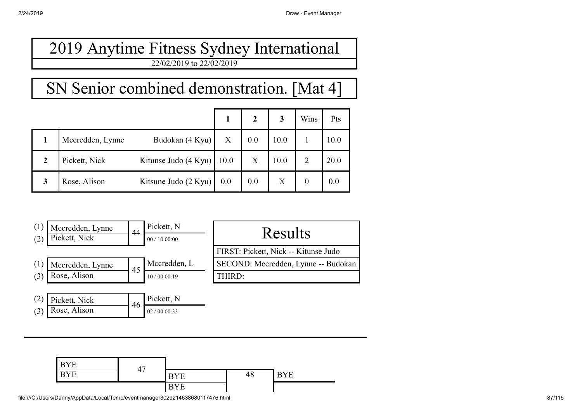### SN Senior combined demonstration. [Mat 4]

|                  |                  |                      |      |     |      | Wins | Pts  |
|------------------|------------------|----------------------|------|-----|------|------|------|
|                  | Mccredden, Lynne | Budokan (4 Kyu)      | X    | 0.0 | 10.0 |      | 10.0 |
| $\boldsymbol{2}$ | Pickett, Nick    | Kitunse Judo (4 Kyu) | 10.0 | X   | 10.0 |      | 20.0 |
| 3                | Rose, Alison     | Kitsune Judo (2 Kyu) | 0.0  | 0.0 |      |      | 0.0  |

| Mccredden, Lynne<br>Pickett, Nick | 44 | Pickett, N<br>00/1000:00 | Results                              |
|-----------------------------------|----|--------------------------|--------------------------------------|
|                                   |    |                          | FIRST: Pickett, Nick -- Kitunse Judo |
| Mccredden, Lynne                  |    | Mccredden, L             | SECOND: Mccredden, Lynne -- Budokan  |
| Rose, Alison                      | 45 | 10/0000:19               | 'HIRD:                               |



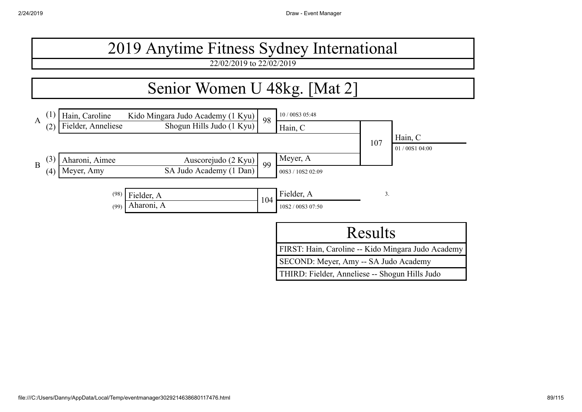22/02/2019 to 22/02/2019

## Senior Women U 48kg. [Mat 2]

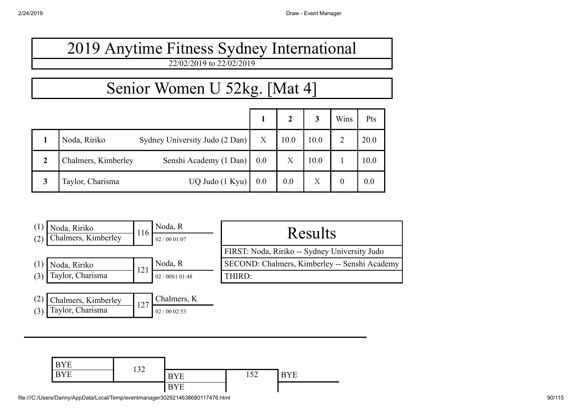Senior Women U 52kg. [Mat 4]

|   |                     |                                |     |                         |                   | Wins           | Pts  |
|---|---------------------|--------------------------------|-----|-------------------------|-------------------|----------------|------|
|   | Noda, Ririko        | Sydney University Judo (2 Dan) | X   | 10.0                    | 10.0              | $\overline{2}$ | 20.0 |
| 2 | Chalmers, Kimberley | Senshi Academy (1 Dan)         | 0.0 | $\overline{\mathrm{X}}$ | 10.0              |                | 10.0 |
| 3 | Taylor, Charisma    | UQ Judo (1 Kyu)                | 0.0 | 0.0                     | $\rm\overline{X}$ |                | 0.0  |



| <b>BYE</b> | 127 |            |                   |            |
|------------|-----|------------|-------------------|------------|
| <b>BYE</b> | ᆚᆚ  | <b>BYE</b> | $\sqrt{2}$<br>152 | <b>BYE</b> |
|            |     | <b>BYE</b> |                   |            |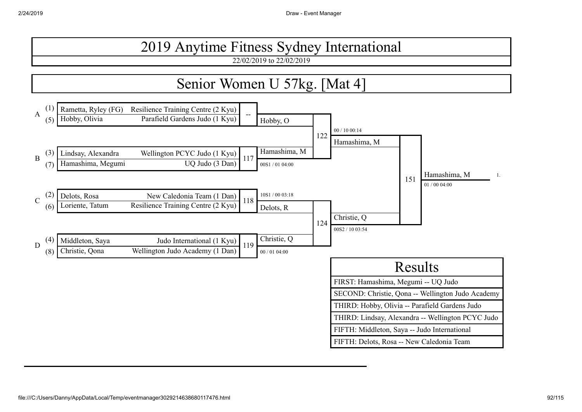22/02/2019 to 22/02/2019

#### Senior Women U 57kg. [Mat 4]

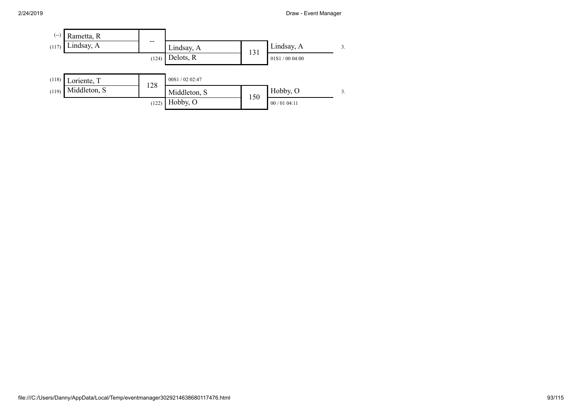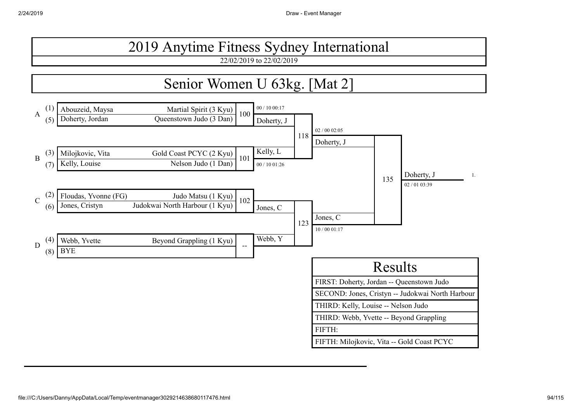22/02/2019 to 22/02/2019

#### Senior Women U 63kg. [Mat 2]

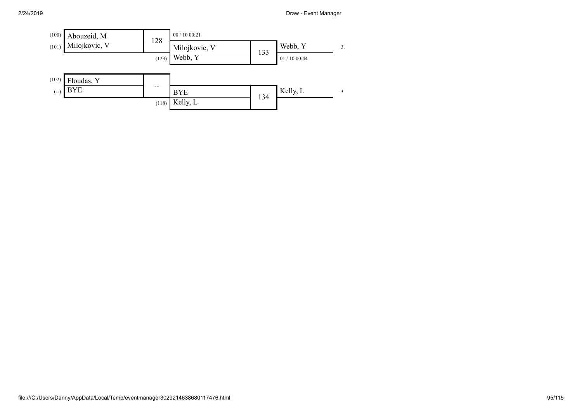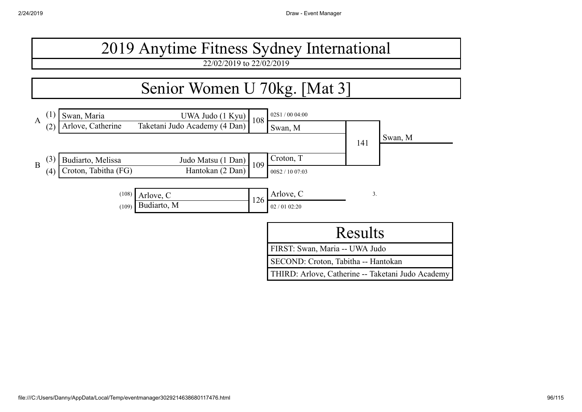22/02/2019 to 22/02/2019

### Senior Women U 70kg. [Mat 3]

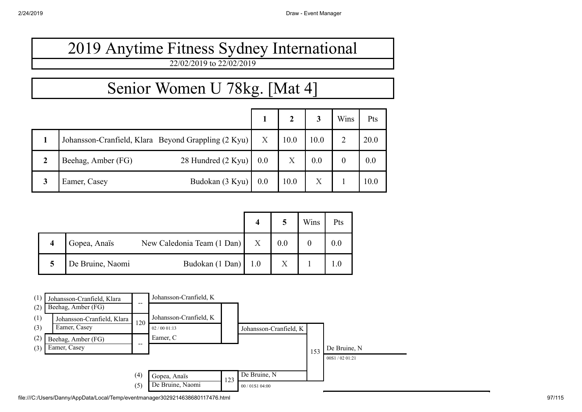# Senior Women U 78kg. [Mat 4]

|   |                                                     |                    |     |      |      | Wins | Pts  |
|---|-----------------------------------------------------|--------------------|-----|------|------|------|------|
|   | Johansson-Cranfield, Klara Beyond Grappling (2 Kyu) |                    | X   | 10.0 | 10.0 | 2    | 20.0 |
| 2 | Beehag, Amber (FG)                                  | 28 Hundred (2 Kyu) | 0.0 | X    | 0.0  | 0    | 0.0  |
|   | Eamer, Casey                                        | Budokan (3 Kyu)    | 0.0 | 10.0 | X    |      | 10.0 |

|  |                  |                                          |     | Wins | Pts |
|--|------------------|------------------------------------------|-----|------|-----|
|  | Gopea, Anaïs     | New Caledonia Team $(1 \text{ Dan})$ $X$ | 0.0 |      |     |
|  | De Bruine, Naomi | Budokan $(1$ Dan $)$ 1.0                 |     |      |     |

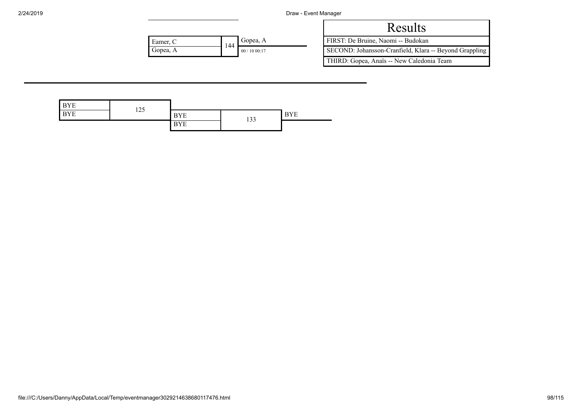|          |     |            | Results                                                |
|----------|-----|------------|--------------------------------------------------------|
| Eamer, C | 144 | Gopea, A   | FIRST: De Bruine, Naomi -- Budokan                     |
| Gopea, A |     | 00/1000:17 | SECOND: Johansson-Cranfield, Klara -- Beyond Grappling |
|          |     |            | THIRD: Gopea, Anaïs -- New Caledonia Team              |



Eamer, C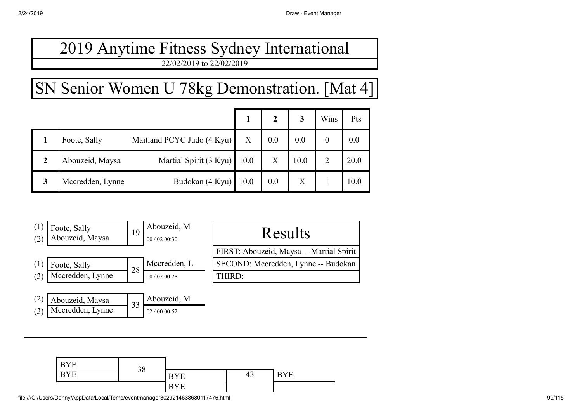22/02/2019 to 22/02/2019

### SN Senior Women U 78kg Demonstration. [Mat 4]

|             |                  |                             |      |     | 3    | Wins     | Pts  |
|-------------|------------------|-----------------------------|------|-----|------|----------|------|
|             | Foote, Sally     | Maitland PCYC Judo (4 Kyu)  | X    | 0.0 | 0.0  | $\theta$ | 0.0  |
| $\mathbf 2$ | Abouzeid, Maysa  | Martial Spirit (3 Kyu) 10.0 |      | X   | 10.0 |          | 20.0 |
| 3           | Mccredden, Lynne | Budokan (4 Kyu)             | 10.0 | 0.0 | X    |          | 10.0 |

| (1) | Foote, Sally<br>Abouzeid, Maysa | 19 | Abouzeid, M<br>00/02 00:30 | Results                                  |
|-----|---------------------------------|----|----------------------------|------------------------------------------|
|     |                                 |    |                            | FIRST: Abouzeid, Maysa -- Martial Spirit |
| (1) | Foote, Sally                    |    | Mccredden, L               | SECOND: Mccredden, Lynne -- Budokan      |
|     | Mccredden, Lynne                | 28 | 00/02 00:28                | THIRD:                                   |
|     |                                 |    |                            |                                          |



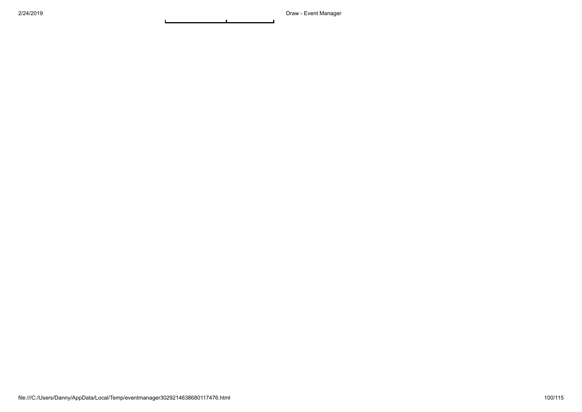$\overline{\phantom{a}}$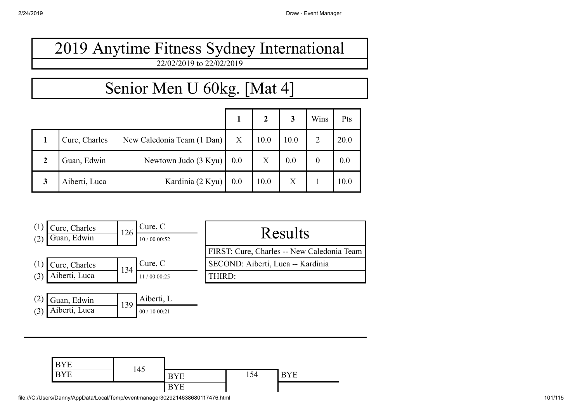## Senior Men U 60kg. [Mat 4]

|                |               |                            |     | $\overline{2}$ | 3    | Wins          | Pts  |
|----------------|---------------|----------------------------|-----|----------------|------|---------------|------|
| 1              | Cure, Charles | New Caledonia Team (1 Dan) | X   | 10.0           | 10.0 | $\mathcal{D}$ | 20.0 |
| $\overline{2}$ | Guan, Edwin   | Newtown Judo (3 Kyu)       | 0.0 | X              | 0.0  |               | 0.0  |
| 3              | Aiberti, Luca | Kardinia (2 Kyu)           | 0.0 | 10.0           | X    |               | 10.0 |

| (1) | Cure, Charles<br>Guan, Edwin | 126 | Cure, C<br>10/0000:52 | <b>Results</b>                             |  |
|-----|------------------------------|-----|-----------------------|--------------------------------------------|--|
|     |                              |     |                       | FIRST: Cure, Charles -- New Caledonia Team |  |
|     | Cure, Charles                |     | Cure, C               | SECOND: Aiberti, Luca -- Kardinia          |  |
|     | Aiberti, Luca                | 134 | 11/0000:25            | THIRD:                                     |  |
|     |                              |     |                       |                                            |  |
|     | Guan, Edwin                  | 139 | Aiberti, L            |                                            |  |
|     | Aiberti, Luca                |     | 00/1000:21            |                                            |  |

| <b>BYE</b> |     |            |     |            |
|------------|-----|------------|-----|------------|
| <b>BYE</b> | 145 | <b>BYE</b> | 154 | <b>BYE</b> |
|            |     | <b>BYE</b> |     |            |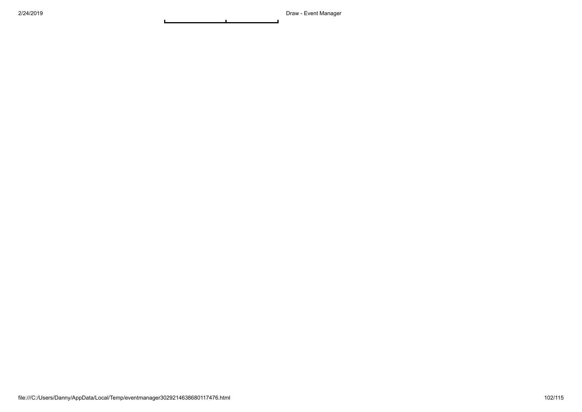$\mathbf{r}$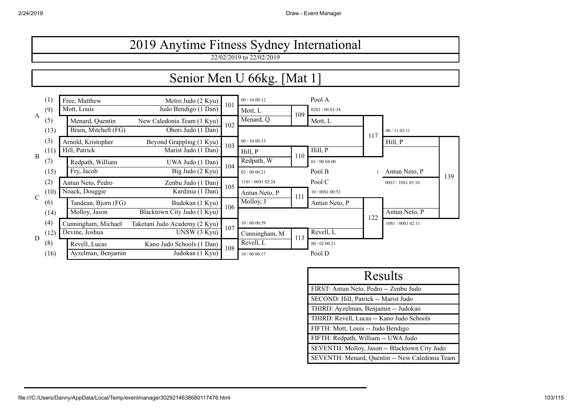22/02/2019 to 22/02/2019

#### Senior Men U 66kg. [Mat 1]



| Results                                        |
|------------------------------------------------|
| FIRST: Antun Neto, Pedro -- Zenbu Judo         |
| SECOND: Hill, Patrick -- Marist Judo           |
| THIRD: Ayzelman, Benjamin -- Judokan           |
| THIRD: Revell, Lucas -- Kano Judo Schools      |
| FIFTH: Mott, Louis -- Judo Bendigo             |
| FIFTH: Redpath, William -- UWA Judo            |
| SEVENTH: Molloy, Jason -- Blacktown City Judo  |
| SEVENTH: Menard, Quentin -- New Caledonia Team |
|                                                |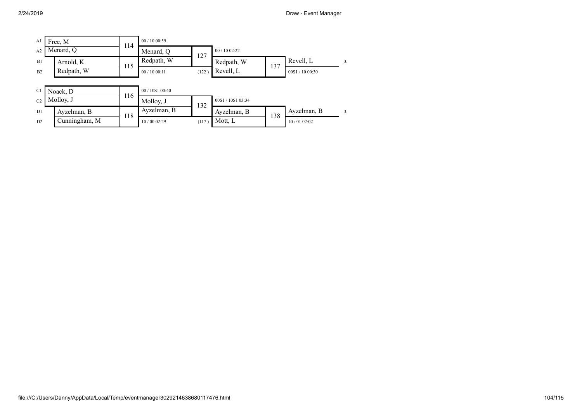| A <sub>1</sub> | Free, M                      | 114 | 00/1000:59      |       |                   |     |                 |    |  |
|----------------|------------------------------|-----|-----------------|-------|-------------------|-----|-----------------|----|--|
| A2             | Menard, Q                    |     | Menard, Q       | 127   | 00/1002:22        |     |                 |    |  |
| B1             | Arnold, K                    | 115 | Redpath, W      |       | Redpath, W        | 137 | Revell, L       | 3. |  |
| B <sub>2</sub> | Redpath, W                   |     | 00/1000:11      | (122) | Revell, L         |     | 00S1 / 10 00:30 |    |  |
|                |                              |     |                 |       |                   |     |                 |    |  |
| C <sub>1</sub> | Noack, D<br>116<br>Molloy, J |     | 00 / 10S1 00:40 |       |                   |     |                 |    |  |
| C <sub>2</sub> |                              |     | Molloy, J       | 132   | 00S1 / 10S1 03:34 |     |                 |    |  |
| D1             | Ayzelman, B                  | 118 | Ayzelman, B     |       | Ayzelman, B       | 138 | Ayzelman, B     | 3. |  |
| D2             | Cunningham, M                |     | 10/00 02:29     | (117) | Mott, L           |     | 10/01 02:02     |    |  |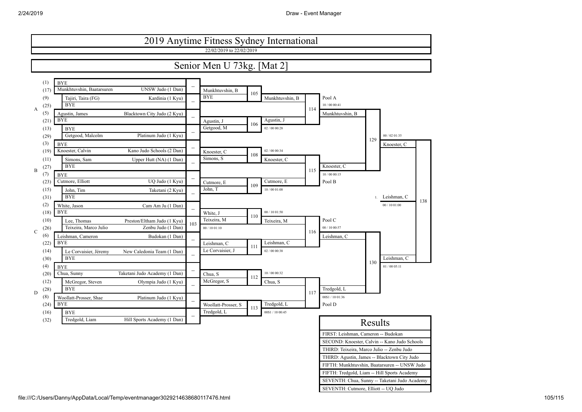FIFTH: Munkhtuvshin, Baatarsuren -- UNSW Judo FIFTH: Tredgold, Liam -- Hill Sports Academy SEVENTH: Chua, Sunny -- Taketani Judo Academy

SEVENTH: Cutmore, Elliott -- UQ Judo

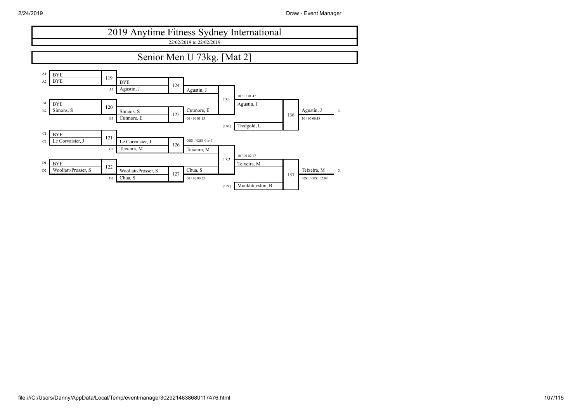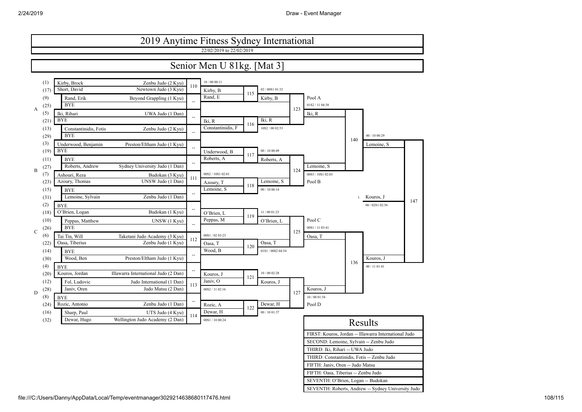

| Results                                               |
|-------------------------------------------------------|
| FIRST: Kouros, Jordan -- Illawarra International Judo |
| SECOND: Lemoine, Sylvain -- Zenbu Judo                |
| THIRD: Iki, Rihari -- UWA Judo                        |
| THIRD: Constantinidis, Fotis -- Zenbu Judo            |
| FIFTH: Janiv, Oren -- Judo Matsu                      |
| FIFTH: Oasa, Tiberius -- Zenbu Judo                   |
| SEVENTH: O'Brien, Logan -- Budokan                    |
| SEVENTH: Roberts, Andrew -- Sydney University Judo    |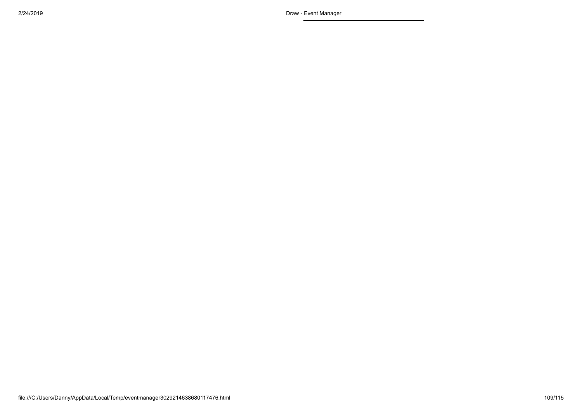2/24/2019 Draw - Event Manager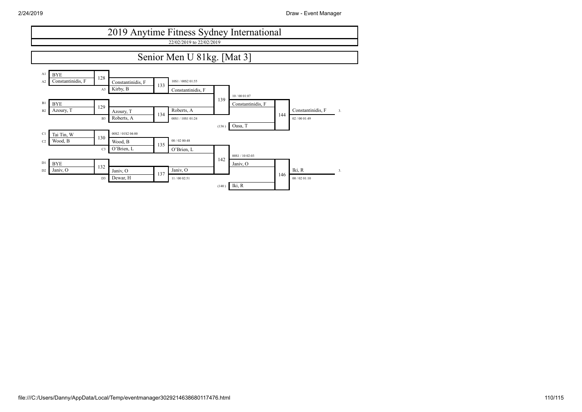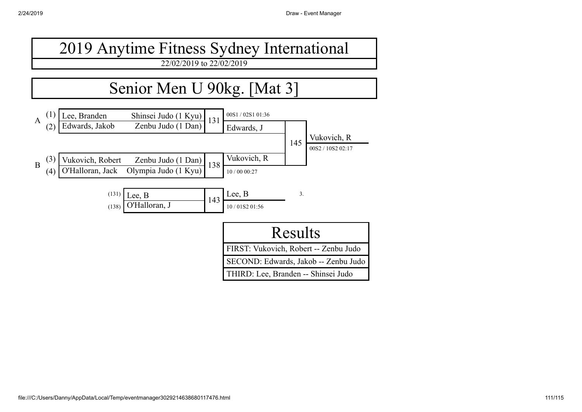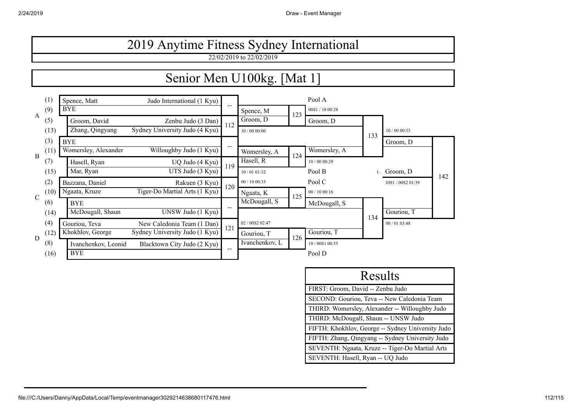## 2019 Anytime Fitness Sydney International

22/02/2019 to 22/02/2019

## Senior Men U100kg. [Mat 1]



| Results                                           |  |  |  |  |  |
|---------------------------------------------------|--|--|--|--|--|
| FIRST: Groom, David -- Zenbu Judo                 |  |  |  |  |  |
| SECOND: Gouriou, Teva -- New Caledonia Team       |  |  |  |  |  |
| THIRD: Womersley, Alexander -- Willoughby Judo    |  |  |  |  |  |
| THIRD: McDougall, Shaun -- UNSW Judo              |  |  |  |  |  |
| FIFTH: Khokhlov, George -- Sydney University Judo |  |  |  |  |  |
| FIFTH: Zhang, Qingyang -- Sydney University Judo  |  |  |  |  |  |
| SEVENTH: Ngaata, Kruze -- Tiger-Do Martial Arts   |  |  |  |  |  |
| SEVENTH: Hasell, Ryan -- UQ Judo                  |  |  |  |  |  |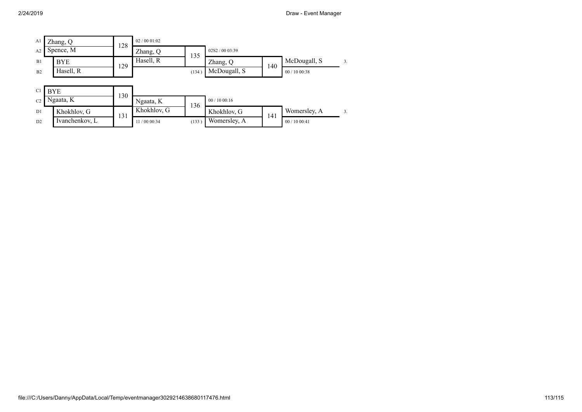| A1             | Zhang, Q       | 128 | 02/0001:02    |       |                 |     |               |                  |  |
|----------------|----------------|-----|---------------|-------|-----------------|-----|---------------|------------------|--|
| A2             | Spence, M      |     | Zhang, Q      | 135   | 02S2 / 00 03:39 |     |               |                  |  |
| B1             | <b>BYE</b>     | 129 | Hasell, R     |       | $\chi$ hang, Q  | 140 | McDougall, S  | $\overline{3}$ . |  |
| B2             | Hasell, R      |     |               | (134) | McDougall, S    |     | 00 / 10 00:38 |                  |  |
|                |                |     |               |       |                 |     |               |                  |  |
| C <sub>1</sub> | <b>BYE</b>     | 130 |               |       |                 |     |               |                  |  |
| C <sub>2</sub> | Ngaata, K      |     | Ngaata, K     | 136   | 00/1000:16      |     |               |                  |  |
| D1             | Khokhlov, G    | 131 | Khokhlov, G   |       | Khokhlov, G     | 141 | Womersley, A  | 3                |  |
| D2             | Ivanchenkov, L |     | 11 / 00 00:34 | (133) | Womersley, A    |     | 00/1000:41    |                  |  |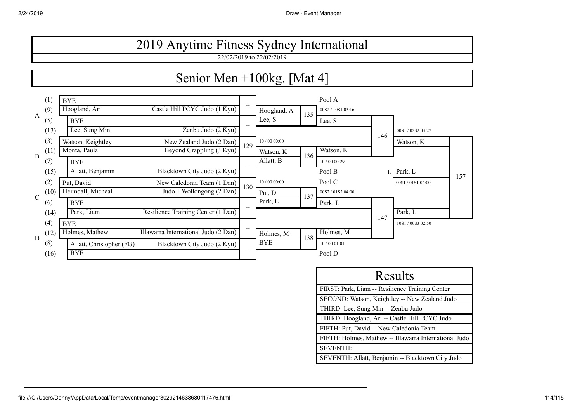## 2019 Anytime Fitness Sydney International

22/02/2019 to 22/02/2019

## Senior Men +100kg. [Mat 4]



| Results                                               |  |  |  |  |  |
|-------------------------------------------------------|--|--|--|--|--|
| FIRST: Park, Liam -- Resilience Training Center       |  |  |  |  |  |
| SECOND: Watson, Keightley -- New Zealand Judo         |  |  |  |  |  |
| THIRD: Lee, Sung Min -- Zenbu Judo                    |  |  |  |  |  |
| THIRD: Hoogland, Ari -- Castle Hill PCYC Judo         |  |  |  |  |  |
| FIFTH: Put, David -- New Caledonia Team               |  |  |  |  |  |
| FIFTH: Holmes, Mathew -- Illawarra International Judo |  |  |  |  |  |
| <b>SEVENTH:</b>                                       |  |  |  |  |  |
| SEVENTH: Allatt, Benjamin -- Blacktown City Judo      |  |  |  |  |  |